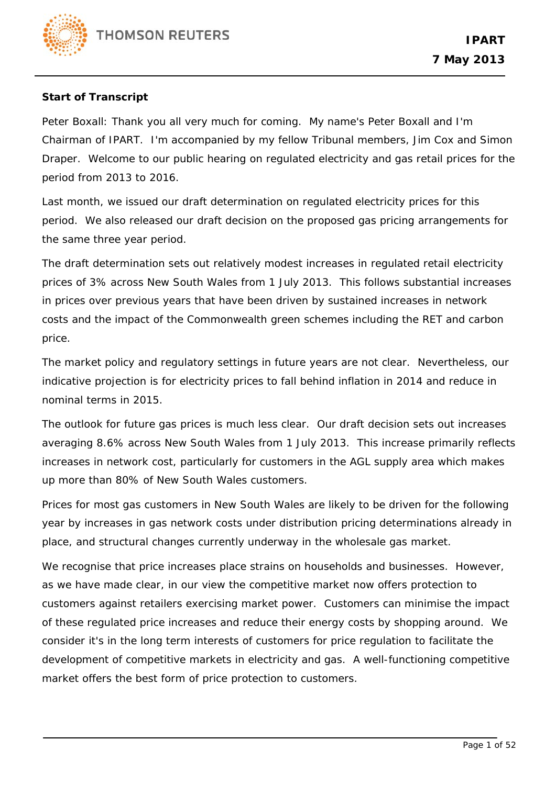

## **Start of Transcript**

Peter Boxall: Thank you all very much for coming. My name's Peter Boxall and I'm Chairman of IPART. I'm accompanied by my fellow Tribunal members, Jim Cox and Simon Draper. Welcome to our public hearing on regulated electricity and gas retail prices for the period from 2013 to 2016.

Last month, we issued our draft determination on regulated electricity prices for this period. We also released our draft decision on the proposed gas pricing arrangements for the same three year period.

The draft determination sets out relatively modest increases in regulated retail electricity prices of 3% across New South Wales from 1 July 2013. This follows substantial increases in prices over previous years that have been driven by sustained increases in network costs and the impact of the Commonwealth green schemes including the RET and carbon price.

The market policy and regulatory settings in future years are not clear. Nevertheless, our indicative projection is for electricity prices to fall behind inflation in 2014 and reduce in nominal terms in 2015.

The outlook for future gas prices is much less clear. Our draft decision sets out increases averaging 8.6% across New South Wales from 1 July 2013. This increase primarily reflects increases in network cost, particularly for customers in the AGL supply area which makes up more than 80% of New South Wales customers.

Prices for most gas customers in New South Wales are likely to be driven for the following year by increases in gas network costs under distribution pricing determinations already in place, and structural changes currently underway in the wholesale gas market.

We recognise that price increases place strains on households and businesses. However, as we have made clear, in our view the competitive market now offers protection to customers against retailers exercising market power. Customers can minimise the impact of these regulated price increases and reduce their energy costs by shopping around. We consider it's in the long term interests of customers for price regulation to facilitate the development of competitive markets in electricity and gas. A well-functioning competitive market offers the best form of price protection to customers.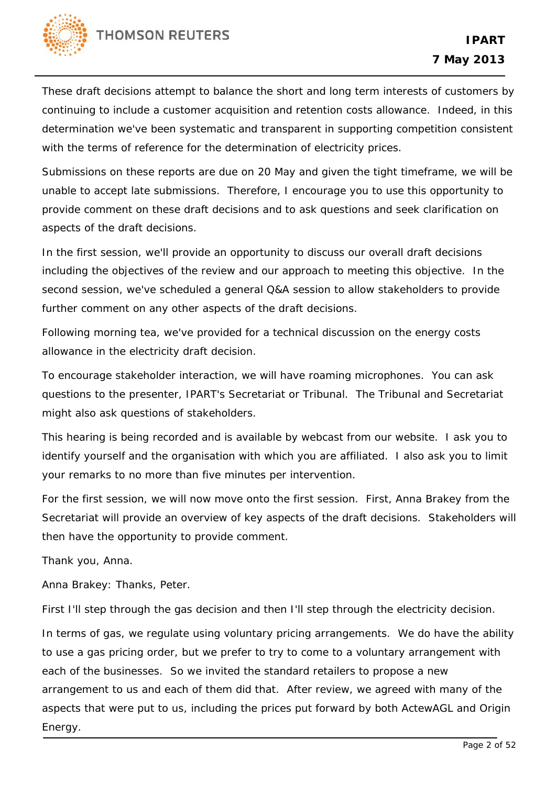

These draft decisions attempt to balance the short and long term interests of customers by continuing to include a customer acquisition and retention costs allowance. Indeed, in this determination we've been systematic and transparent in supporting competition consistent with the terms of reference for the determination of electricity prices.

Submissions on these reports are due on 20 May and given the tight timeframe, we will be unable to accept late submissions. Therefore, I encourage you to use this opportunity to provide comment on these draft decisions and to ask questions and seek clarification on aspects of the draft decisions.

In the first session, we'll provide an opportunity to discuss our overall draft decisions including the objectives of the review and our approach to meeting this objective. In the second session, we've scheduled a general Q&A session to allow stakeholders to provide further comment on any other aspects of the draft decisions.

Following morning tea, we've provided for a technical discussion on the energy costs allowance in the electricity draft decision.

To encourage stakeholder interaction, we will have roaming microphones. You can ask questions to the presenter, IPART's Secretariat or Tribunal. The Tribunal and Secretariat might also ask questions of stakeholders.

This hearing is being recorded and is available by webcast from our website. I ask you to identify yourself and the organisation with which you are affiliated. I also ask you to limit your remarks to no more than five minutes per intervention.

For the first session, we will now move onto the first session. First, Anna Brakey from the Secretariat will provide an overview of key aspects of the draft decisions. Stakeholders will then have the opportunity to provide comment.

Thank you, Anna.

Anna Brakey: Thanks, Peter.

First I'll step through the gas decision and then I'll step through the electricity decision.

In terms of gas, we regulate using voluntary pricing arrangements. We do have the ability to use a gas pricing order, but we prefer to try to come to a voluntary arrangement with each of the businesses. So we invited the standard retailers to propose a new arrangement to us and each of them did that. After review, we agreed with many of the aspects that were put to us, including the prices put forward by both ActewAGL and Origin Energy.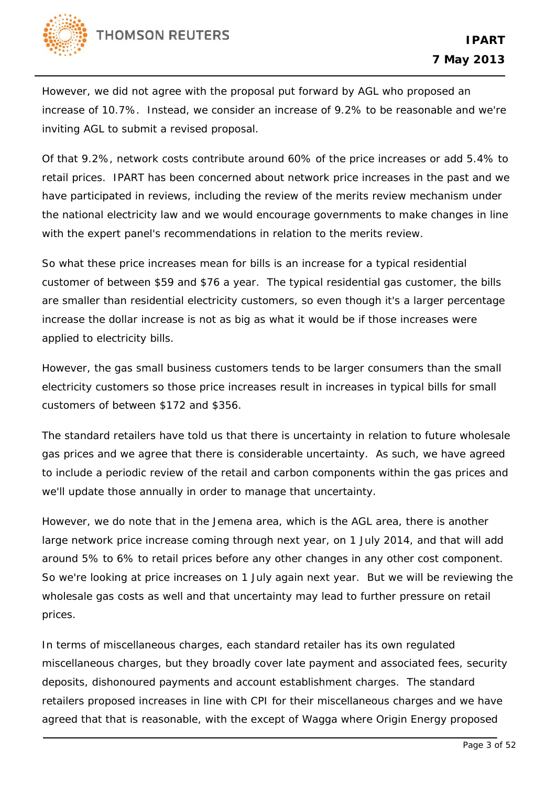

However, we did not agree with the proposal put forward by AGL who proposed an increase of 10.7%. Instead, we consider an increase of 9.2% to be reasonable and we're inviting AGL to submit a revised proposal.

Of that 9.2%, network costs contribute around 60% of the price increases or add 5.4% to retail prices. IPART has been concerned about network price increases in the past and we have participated in reviews, including the review of the merits review mechanism under the national electricity law and we would encourage governments to make changes in line with the expert panel's recommendations in relation to the merits review.

So what these price increases mean for bills is an increase for a typical residential customer of between \$59 and \$76 a year. The typical residential gas customer, the bills are smaller than residential electricity customers, so even though it's a larger percentage increase the dollar increase is not as big as what it would be if those increases were applied to electricity bills.

However, the gas small business customers tends to be larger consumers than the small electricity customers so those price increases result in increases in typical bills for small customers of between \$172 and \$356.

The standard retailers have told us that there is uncertainty in relation to future wholesale gas prices and we agree that there is considerable uncertainty. As such, we have agreed to include a periodic review of the retail and carbon components within the gas prices and we'll update those annually in order to manage that uncertainty.

However, we do note that in the Jemena area, which is the AGL area, there is another large network price increase coming through next year, on 1 July 2014, and that will add around 5% to 6% to retail prices before any other changes in any other cost component. So we're looking at price increases on 1 July again next year. But we will be reviewing the wholesale gas costs as well and that uncertainty may lead to further pressure on retail prices.

In terms of miscellaneous charges, each standard retailer has its own regulated miscellaneous charges, but they broadly cover late payment and associated fees, security deposits, dishonoured payments and account establishment charges. The standard retailers proposed increases in line with CPI for their miscellaneous charges and we have agreed that that is reasonable, with the except of Wagga where Origin Energy proposed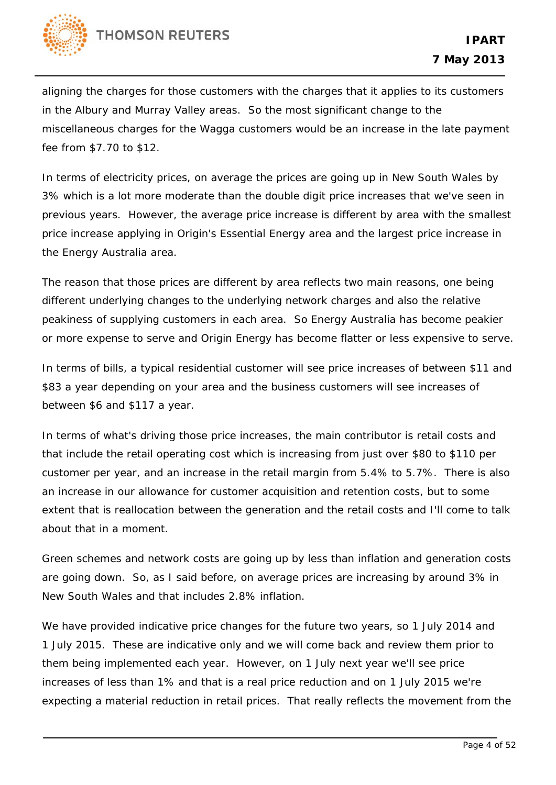

aligning the charges for those customers with the charges that it applies to its customers in the Albury and Murray Valley areas. So the most significant change to the miscellaneous charges for the Wagga customers would be an increase in the late payment fee from \$7.70 to \$12.

In terms of electricity prices, on average the prices are going up in New South Wales by 3% which is a lot more moderate than the double digit price increases that we've seen in previous years. However, the average price increase is different by area with the smallest price increase applying in Origin's Essential Energy area and the largest price increase in the Energy Australia area.

The reason that those prices are different by area reflects two main reasons, one being different underlying changes to the underlying network charges and also the relative peakiness of supplying customers in each area. So Energy Australia has become peakier or more expense to serve and Origin Energy has become flatter or less expensive to serve.

In terms of bills, a typical residential customer will see price increases of between \$11 and \$83 a year depending on your area and the business customers will see increases of between \$6 and \$117 a year.

In terms of what's driving those price increases, the main contributor is retail costs and that include the retail operating cost which is increasing from just over \$80 to \$110 per customer per year, and an increase in the retail margin from 5.4% to 5.7%. There is also an increase in our allowance for customer acquisition and retention costs, but to some extent that is reallocation between the generation and the retail costs and I'll come to talk about that in a moment.

Green schemes and network costs are going up by less than inflation and generation costs are going down. So, as I said before, on average prices are increasing by around 3% in New South Wales and that includes 2.8% inflation.

We have provided indicative price changes for the future two years, so 1 July 2014 and 1 July 2015. These are indicative only and we will come back and review them prior to them being implemented each year. However, on 1 July next year we'll see price increases of less than 1% and that is a real price reduction and on 1 July 2015 we're expecting a material reduction in retail prices. That really reflects the movement from the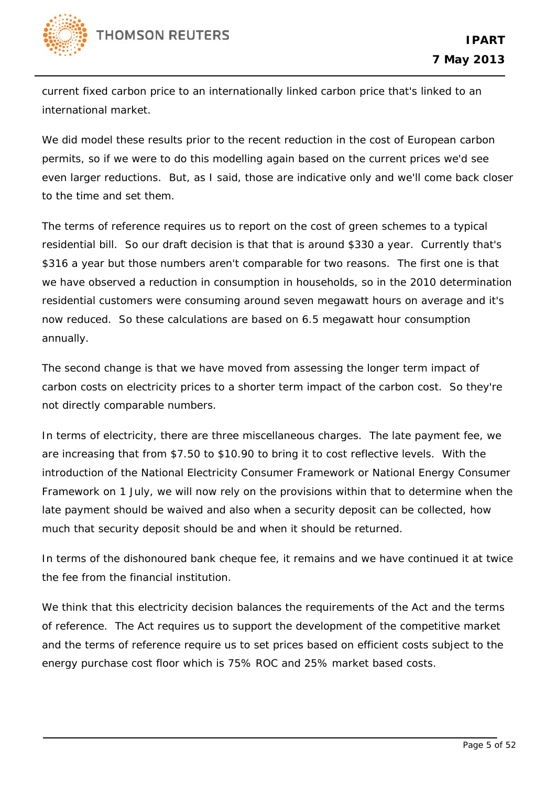

current fixed carbon price to an internationally linked carbon price that's linked to an international market.

We did model these results prior to the recent reduction in the cost of European carbon permits, so if we were to do this modelling again based on the current prices we'd see even larger reductions. But, as I said, those are indicative only and we'll come back closer to the time and set them.

The terms of reference requires us to report on the cost of green schemes to a typical residential bill. So our draft decision is that that is around \$330 a year. Currently that's \$316 a year but those numbers aren't comparable for two reasons. The first one is that we have observed a reduction in consumption in households, so in the 2010 determination residential customers were consuming around seven megawatt hours on average and it's now reduced. So these calculations are based on 6.5 megawatt hour consumption annually.

The second change is that we have moved from assessing the longer term impact of carbon costs on electricity prices to a shorter term impact of the carbon cost. So they're not directly comparable numbers.

In terms of electricity, there are three miscellaneous charges. The late payment fee, we are increasing that from \$7.50 to \$10.90 to bring it to cost reflective levels. With the introduction of the National Electricity Consumer Framework or National Energy Consumer Framework on 1 July, we will now rely on the provisions within that to determine when the late payment should be waived and also when a security deposit can be collected, how much that security deposit should be and when it should be returned.

In terms of the dishonoured bank cheque fee, it remains and we have continued it at twice the fee from the financial institution.

We think that this electricity decision balances the requirements of the Act and the terms of reference. The Act requires us to support the development of the competitive market and the terms of reference require us to set prices based on efficient costs subject to the energy purchase cost floor which is 75% ROC and 25% market based costs.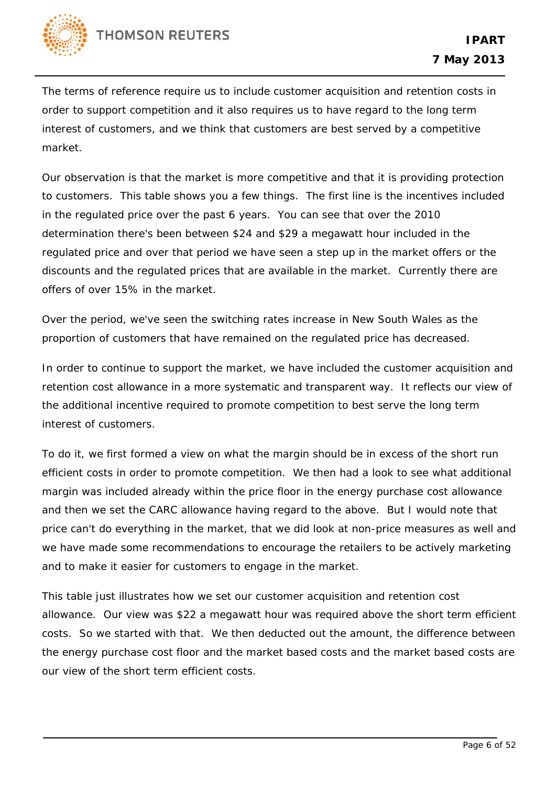

The terms of reference require us to include customer acquisition and retention costs in order to support competition and it also requires us to have regard to the long term interest of customers, and we think that customers are best served by a competitive market.

Our observation is that the market is more competitive and that it is providing protection to customers. This table shows you a few things. The first line is the incentives included in the regulated price over the past 6 years. You can see that over the 2010 determination there's been between \$24 and \$29 a megawatt hour included in the regulated price and over that period we have seen a step up in the market offers or the discounts and the regulated prices that are available in the market. Currently there are offers of over 15% in the market.

Over the period, we've seen the switching rates increase in New South Wales as the proportion of customers that have remained on the regulated price has decreased.

In order to continue to support the market, we have included the customer acquisition and retention cost allowance in a more systematic and transparent way. It reflects our view of the additional incentive required to promote competition to best serve the long term interest of customers.

To do it, we first formed a view on what the margin should be in excess of the short run efficient costs in order to promote competition. We then had a look to see what additional margin was included already within the price floor in the energy purchase cost allowance and then we set the CARC allowance having regard to the above. But I would note that price can't do everything in the market, that we did look at non-price measures as well and we have made some recommendations to encourage the retailers to be actively marketing and to make it easier for customers to engage in the market.

This table just illustrates how we set our customer acquisition and retention cost allowance. Our view was \$22 a megawatt hour was required above the short term efficient costs. So we started with that. We then deducted out the amount, the difference between the energy purchase cost floor and the market based costs and the market based costs are our view of the short term efficient costs.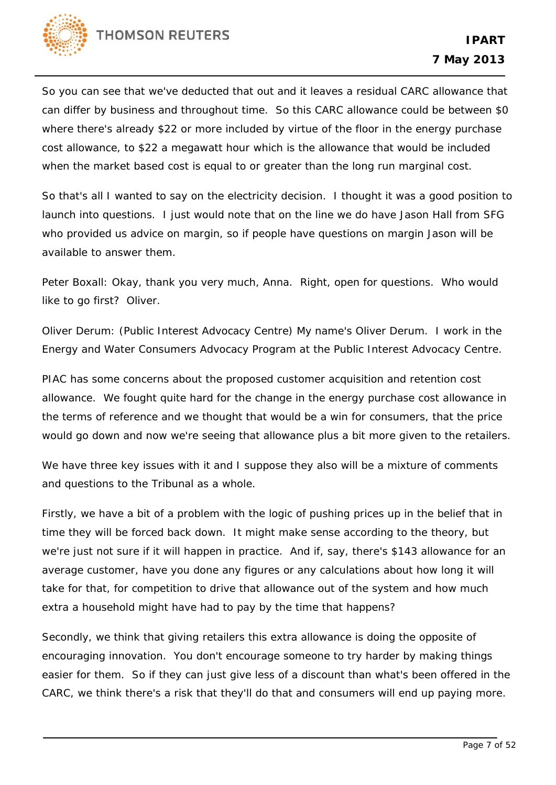

So you can see that we've deducted that out and it leaves a residual CARC allowance that can differ by business and throughout time. So this CARC allowance could be between \$0 where there's already \$22 or more included by virtue of the floor in the energy purchase cost allowance, to \$22 a megawatt hour which is the allowance that would be included when the market based cost is equal to or greater than the long run marginal cost.

So that's all I wanted to say on the electricity decision. I thought it was a good position to launch into questions. I just would note that on the line we do have Jason Hall from SFG who provided us advice on margin, so if people have questions on margin Jason will be available to answer them.

Peter Boxall: Okay, thank you very much, Anna. Right, open for questions. Who would like to go first? Oliver.

Oliver Derum: (Public Interest Advocacy Centre) My name's Oliver Derum. I work in the Energy and Water Consumers Advocacy Program at the Public Interest Advocacy Centre.

PIAC has some concerns about the proposed customer acquisition and retention cost allowance. We fought quite hard for the change in the energy purchase cost allowance in the terms of reference and we thought that would be a win for consumers, that the price would go down and now we're seeing that allowance plus a bit more given to the retailers.

We have three key issues with it and I suppose they also will be a mixture of comments and questions to the Tribunal as a whole.

Firstly, we have a bit of a problem with the logic of pushing prices up in the belief that in time they will be forced back down. It might make sense according to the theory, but we're just not sure if it will happen in practice. And if, say, there's \$143 allowance for an average customer, have you done any figures or any calculations about how long it will take for that, for competition to drive that allowance out of the system and how much extra a household might have had to pay by the time that happens?

Secondly, we think that giving retailers this extra allowance is doing the opposite of encouraging innovation. You don't encourage someone to try harder by making things easier for them. So if they can just give less of a discount than what's been offered in the CARC, we think there's a risk that they'll do that and consumers will end up paying more.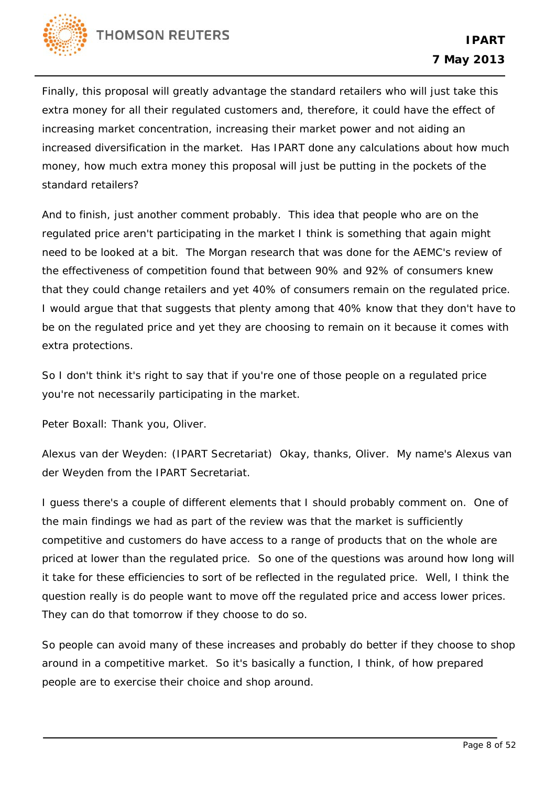

Finally, this proposal will greatly advantage the standard retailers who will just take this extra money for all their regulated customers and, therefore, it could have the effect of increasing market concentration, increasing their market power and not aiding an increased diversification in the market. Has IPART done any calculations about how much money, how much extra money this proposal will just be putting in the pockets of the standard retailers?

And to finish, just another comment probably. This idea that people who are on the regulated price aren't participating in the market I think is something that again might need to be looked at a bit. The Morgan research that was done for the AEMC's review of the effectiveness of competition found that between 90% and 92% of consumers knew that they could change retailers and yet 40% of consumers remain on the regulated price. I would argue that that suggests that plenty among that 40% know that they don't have to be on the regulated price and yet they are choosing to remain on it because it comes with extra protections.

So I don't think it's right to say that if you're one of those people on a regulated price you're not necessarily participating in the market.

Peter Boxall: Thank you, Oliver.

Alexus van der Weyden: (IPART Secretariat) Okay, thanks, Oliver. My name's Alexus van der Weyden from the IPART Secretariat.

I guess there's a couple of different elements that I should probably comment on. One of the main findings we had as part of the review was that the market is sufficiently competitive and customers do have access to a range of products that on the whole are priced at lower than the regulated price. So one of the questions was around how long will it take for these efficiencies to sort of be reflected in the regulated price. Well, I think the question really is do people want to move off the regulated price and access lower prices. They can do that tomorrow if they choose to do so.

So people can avoid many of these increases and probably do better if they choose to shop around in a competitive market. So it's basically a function, I think, of how prepared people are to exercise their choice and shop around.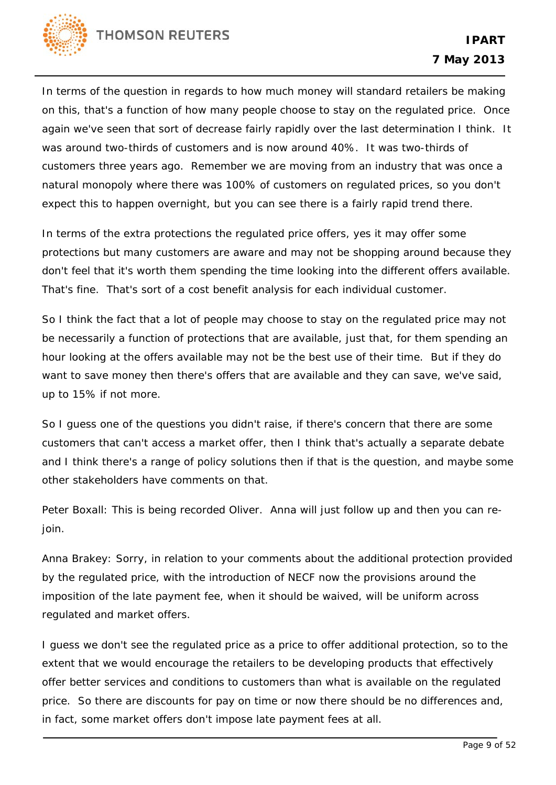

In terms of the question in regards to how much money will standard retailers be making on this, that's a function of how many people choose to stay on the regulated price. Once again we've seen that sort of decrease fairly rapidly over the last determination I think. It was around two-thirds of customers and is now around 40%. It was two-thirds of customers three years ago. Remember we are moving from an industry that was once a natural monopoly where there was 100% of customers on regulated prices, so you don't expect this to happen overnight, but you can see there is a fairly rapid trend there.

In terms of the extra protections the regulated price offers, yes it may offer some protections but many customers are aware and may not be shopping around because they don't feel that it's worth them spending the time looking into the different offers available. That's fine. That's sort of a cost benefit analysis for each individual customer.

So I think the fact that a lot of people may choose to stay on the regulated price may not be necessarily a function of protections that are available, just that, for them spending an hour looking at the offers available may not be the best use of their time. But if they do want to save money then there's offers that are available and they can save, we've said, up to 15% if not more.

So I guess one of the questions you didn't raise, if there's concern that there are some customers that can't access a market offer, then I think that's actually a separate debate and I think there's a range of policy solutions then if that is the question, and maybe some other stakeholders have comments on that.

Peter Boxall: This is being recorded Oliver. Anna will just follow up and then you can rejoin.

Anna Brakey: Sorry, in relation to your comments about the additional protection provided by the regulated price, with the introduction of NECF now the provisions around the imposition of the late payment fee, when it should be waived, will be uniform across regulated and market offers.

I guess we don't see the regulated price as a price to offer additional protection, so to the extent that we would encourage the retailers to be developing products that effectively offer better services and conditions to customers than what is available on the regulated price. So there are discounts for pay on time or now there should be no differences and, in fact, some market offers don't impose late payment fees at all.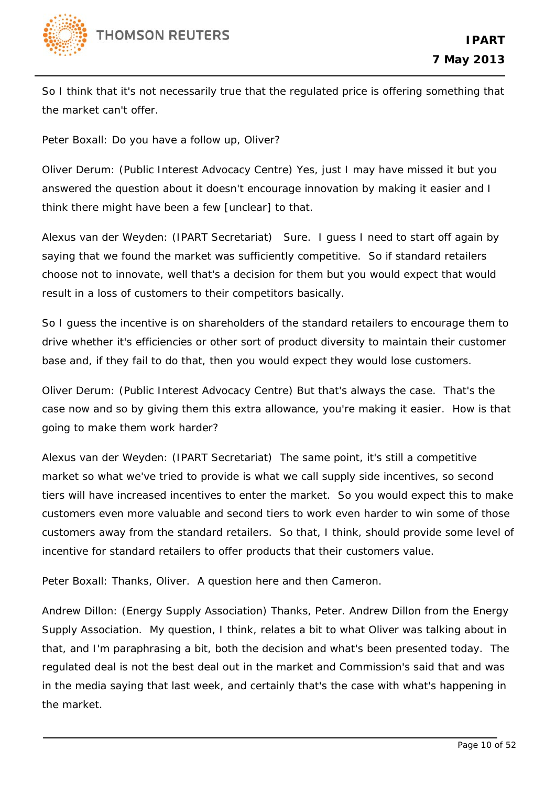

So I think that it's not necessarily true that the regulated price is offering something that the market can't offer.

Peter Boxall: Do you have a follow up, Oliver?

Oliver Derum: (Public Interest Advocacy Centre) Yes, just I may have missed it but you answered the question about it doesn't encourage innovation by making it easier and I think there might have been a few [unclear] to that.

Alexus van der Weyden: (IPART Secretariat) Sure. I guess I need to start off again by saying that we found the market was sufficiently competitive. So if standard retailers choose not to innovate, well that's a decision for them but you would expect that would result in a loss of customers to their competitors basically.

So I guess the incentive is on shareholders of the standard retailers to encourage them to drive whether it's efficiencies or other sort of product diversity to maintain their customer base and, if they fail to do that, then you would expect they would lose customers.

Oliver Derum: (Public Interest Advocacy Centre) But that's always the case. That's the case now and so by giving them this extra allowance, you're making it easier. How is that going to make them work harder?

Alexus van der Weyden: (IPART Secretariat) The same point, it's still a competitive market so what we've tried to provide is what we call supply side incentives, so second tiers will have increased incentives to enter the market. So you would expect this to make customers even more valuable and second tiers to work even harder to win some of those customers away from the standard retailers. So that, I think, should provide some level of incentive for standard retailers to offer products that their customers value.

Peter Boxall: Thanks, Oliver. A question here and then Cameron.

Andrew Dillon: (Energy Supply Association) Thanks, Peter. Andrew Dillon from the Energy Supply Association. My question, I think, relates a bit to what Oliver was talking about in that, and I'm paraphrasing a bit, both the decision and what's been presented today. The regulated deal is not the best deal out in the market and Commission's said that and was in the media saying that last week, and certainly that's the case with what's happening in the market.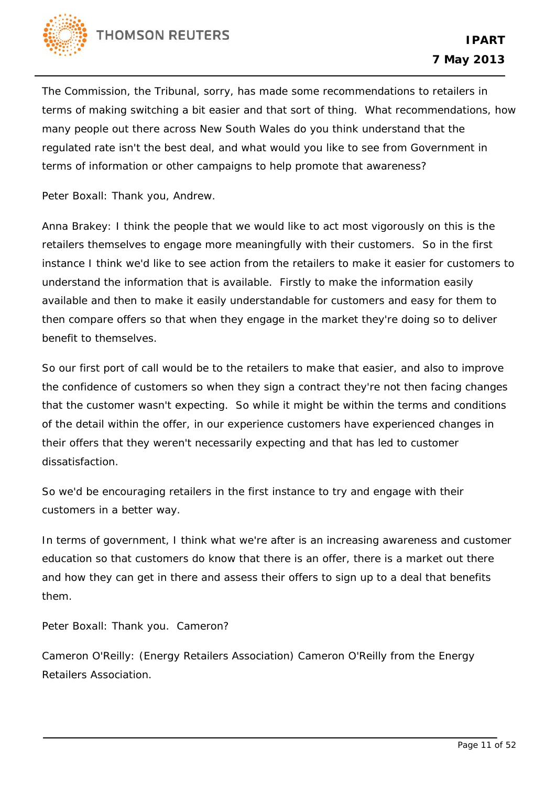

The Commission, the Tribunal, sorry, has made some recommendations to retailers in terms of making switching a bit easier and that sort of thing. What recommendations, how many people out there across New South Wales do you think understand that the regulated rate isn't the best deal, and what would you like to see from Government in terms of information or other campaigns to help promote that awareness?

Peter Boxall: Thank you, Andrew.

Anna Brakey: I think the people that we would like to act most vigorously on this is the retailers themselves to engage more meaningfully with their customers. So in the first instance I think we'd like to see action from the retailers to make it easier for customers to understand the information that is available. Firstly to make the information easily available and then to make it easily understandable for customers and easy for them to then compare offers so that when they engage in the market they're doing so to deliver benefit to themselves.

So our first port of call would be to the retailers to make that easier, and also to improve the confidence of customers so when they sign a contract they're not then facing changes that the customer wasn't expecting. So while it might be within the terms and conditions of the detail within the offer, in our experience customers have experienced changes in their offers that they weren't necessarily expecting and that has led to customer dissatisfaction.

So we'd be encouraging retailers in the first instance to try and engage with their customers in a better way.

In terms of government, I think what we're after is an increasing awareness and customer education so that customers do know that there is an offer, there is a market out there and how they can get in there and assess their offers to sign up to a deal that benefits them.

Peter Boxall: Thank you. Cameron?

Cameron O'Reilly: (Energy Retailers Association) Cameron O'Reilly from the Energy Retailers Association.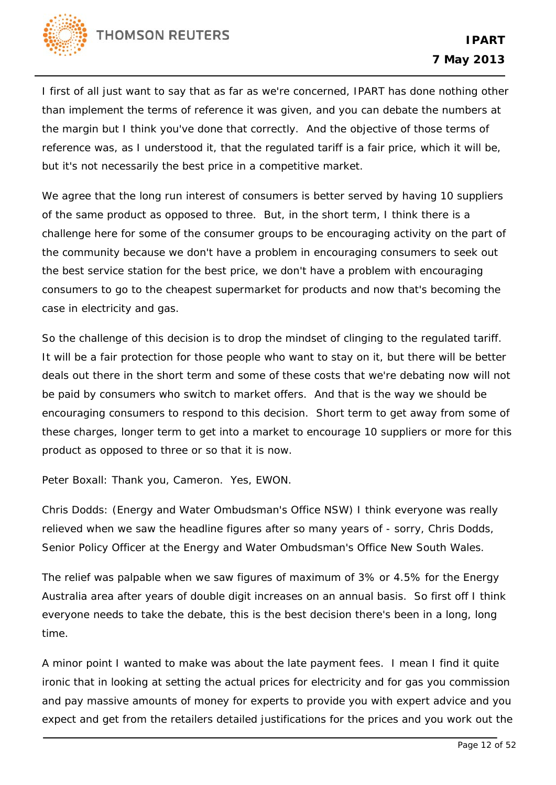

I first of all just want to say that as far as we're concerned, IPART has done nothing other than implement the terms of reference it was given, and you can debate the numbers at the margin but I think you've done that correctly. And the objective of those terms of reference was, as I understood it, that the regulated tariff is a fair price, which it will be, but it's not necessarily the best price in a competitive market.

We agree that the long run interest of consumers is better served by having 10 suppliers of the same product as opposed to three. But, in the short term, I think there is a challenge here for some of the consumer groups to be encouraging activity on the part of the community because we don't have a problem in encouraging consumers to seek out the best service station for the best price, we don't have a problem with encouraging consumers to go to the cheapest supermarket for products and now that's becoming the case in electricity and gas.

So the challenge of this decision is to drop the mindset of clinging to the regulated tariff. It will be a fair protection for those people who want to stay on it, but there will be better deals out there in the short term and some of these costs that we're debating now will not be paid by consumers who switch to market offers. And that is the way we should be encouraging consumers to respond to this decision. Short term to get away from some of these charges, longer term to get into a market to encourage 10 suppliers or more for this product as opposed to three or so that it is now.

Peter Boxall: Thank you, Cameron. Yes, EWON.

Chris Dodds: (Energy and Water Ombudsman's Office NSW) I think everyone was really relieved when we saw the headline figures after so many years of - sorry, Chris Dodds, Senior Policy Officer at the Energy and Water Ombudsman's Office New South Wales.

The relief was palpable when we saw figures of maximum of 3% or 4.5% for the Energy Australia area after years of double digit increases on an annual basis. So first off I think everyone needs to take the debate, this is the best decision there's been in a long, long time.

A minor point I wanted to make was about the late payment fees. I mean I find it quite ironic that in looking at setting the actual prices for electricity and for gas you commission and pay massive amounts of money for experts to provide you with expert advice and you expect and get from the retailers detailed justifications for the prices and you work out the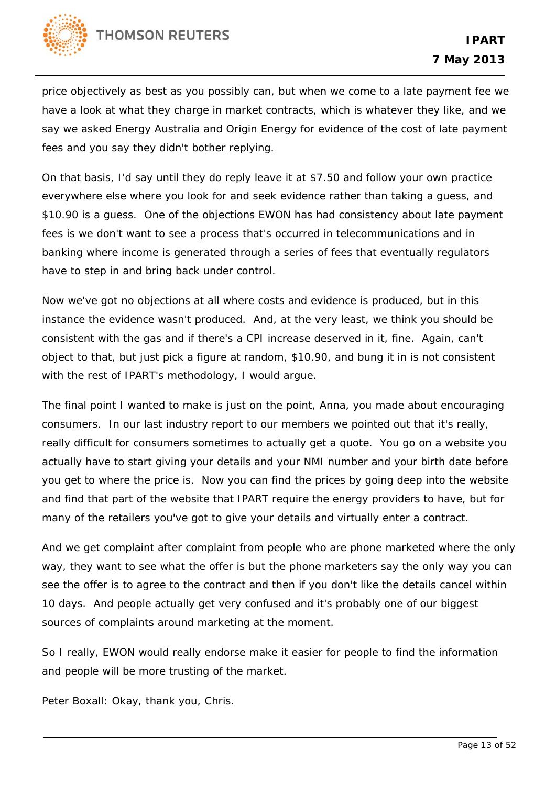

price objectively as best as you possibly can, but when we come to a late payment fee we have a look at what they charge in market contracts, which is whatever they like, and we say we asked Energy Australia and Origin Energy for evidence of the cost of late payment fees and you say they didn't bother replying.

On that basis, I'd say until they do reply leave it at \$7.50 and follow your own practice everywhere else where you look for and seek evidence rather than taking a guess, and \$10.90 is a guess. One of the objections EWON has had consistency about late payment fees is we don't want to see a process that's occurred in telecommunications and in banking where income is generated through a series of fees that eventually regulators have to step in and bring back under control.

Now we've got no objections at all where costs and evidence is produced, but in this instance the evidence wasn't produced. And, at the very least, we think you should be consistent with the gas and if there's a CPI increase deserved in it, fine. Again, can't object to that, but just pick a figure at random, \$10.90, and bung it in is not consistent with the rest of IPART's methodology, I would argue.

The final point I wanted to make is just on the point, Anna, you made about encouraging consumers. In our last industry report to our members we pointed out that it's really, really difficult for consumers sometimes to actually get a quote. You go on a website you actually have to start giving your details and your NMI number and your birth date before you get to where the price is. Now you can find the prices by going deep into the website and find that part of the website that IPART require the energy providers to have, but for many of the retailers you've got to give your details and virtually enter a contract.

And we get complaint after complaint from people who are phone marketed where the only way, they want to see what the offer is but the phone marketers say the only way you can see the offer is to agree to the contract and then if you don't like the details cancel within 10 days. And people actually get very confused and it's probably one of our biggest sources of complaints around marketing at the moment.

So I really, EWON would really endorse make it easier for people to find the information and people will be more trusting of the market.

Peter Boxall: Okay, thank you, Chris.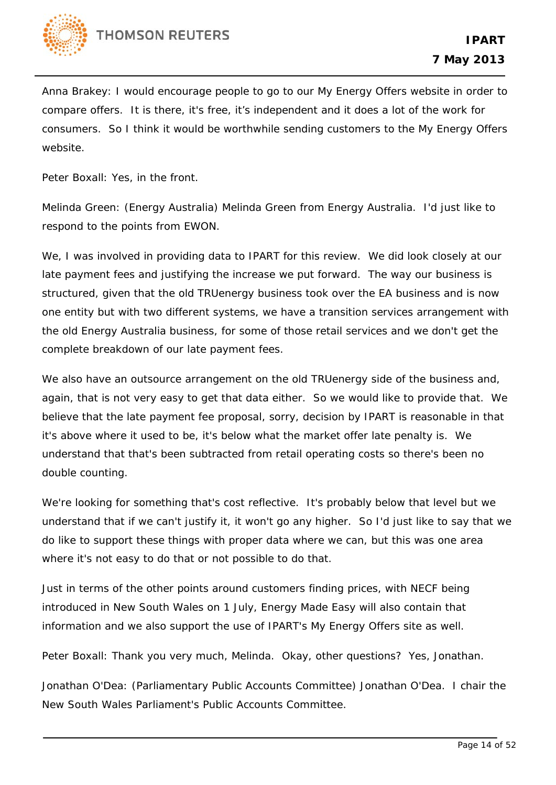

Anna Brakey: I would encourage people to go to our My Energy Offers website in order to compare offers. It is there, it's free, it's independent and it does a lot of the work for consumers. So I think it would be worthwhile sending customers to the My Energy Offers website.

Peter Boxall: Yes, in the front.

Melinda Green: (Energy Australia) Melinda Green from Energy Australia. I'd just like to respond to the points from EWON.

We, I was involved in providing data to IPART for this review. We did look closely at our late payment fees and justifying the increase we put forward. The way our business is structured, given that the old TRUenergy business took over the EA business and is now one entity but with two different systems, we have a transition services arrangement with the old Energy Australia business, for some of those retail services and we don't get the complete breakdown of our late payment fees.

We also have an outsource arrangement on the old TRUenergy side of the business and, again, that is not very easy to get that data either. So we would like to provide that. We believe that the late payment fee proposal, sorry, decision by IPART is reasonable in that it's above where it used to be, it's below what the market offer late penalty is. We understand that that's been subtracted from retail operating costs so there's been no double counting.

We're looking for something that's cost reflective. It's probably below that level but we understand that if we can't justify it, it won't go any higher. So I'd just like to say that we do like to support these things with proper data where we can, but this was one area where it's not easy to do that or not possible to do that.

Just in terms of the other points around customers finding prices, with NECF being introduced in New South Wales on 1 July, Energy Made Easy will also contain that information and we also support the use of IPART's My Energy Offers site as well.

Peter Boxall: Thank you very much, Melinda. Okay, other questions? Yes, Jonathan.

Jonathan O'Dea: (Parliamentary Public Accounts Committee) Jonathan O'Dea. I chair the New South Wales Parliament's Public Accounts Committee.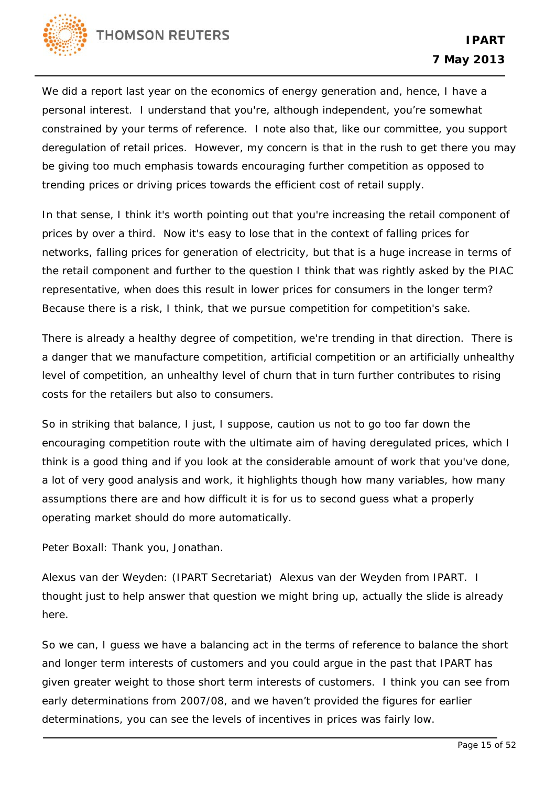

We did a report last year on the economics of energy generation and, hence, I have a personal interest. I understand that you're, although independent, you're somewhat constrained by your terms of reference. I note also that, like our committee, you support deregulation of retail prices. However, my concern is that in the rush to get there you may be giving too much emphasis towards encouraging further competition as opposed to trending prices or driving prices towards the efficient cost of retail supply.

In that sense, I think it's worth pointing out that you're increasing the retail component of prices by over a third. Now it's easy to lose that in the context of falling prices for networks, falling prices for generation of electricity, but that is a huge increase in terms of the retail component and further to the question I think that was rightly asked by the PIAC representative, when does this result in lower prices for consumers in the longer term? Because there is a risk, I think, that we pursue competition for competition's sake.

There is already a healthy degree of competition, we're trending in that direction. There is a danger that we manufacture competition, artificial competition or an artificially unhealthy level of competition, an unhealthy level of churn that in turn further contributes to rising costs for the retailers but also to consumers.

So in striking that balance, I just, I suppose, caution us not to go too far down the encouraging competition route with the ultimate aim of having deregulated prices, which I think is a good thing and if you look at the considerable amount of work that you've done, a lot of very good analysis and work, it highlights though how many variables, how many assumptions there are and how difficult it is for us to second guess what a properly operating market should do more automatically.

Peter Boxall: Thank you, Jonathan.

Alexus van der Weyden: (IPART Secretariat) Alexus van der Weyden from IPART. I thought just to help answer that question we might bring up, actually the slide is already here.

So we can, I guess we have a balancing act in the terms of reference to balance the short and longer term interests of customers and you could argue in the past that IPART has given greater weight to those short term interests of customers. I think you can see from early determinations from 2007/08, and we haven't provided the figures for earlier determinations, you can see the levels of incentives in prices was fairly low.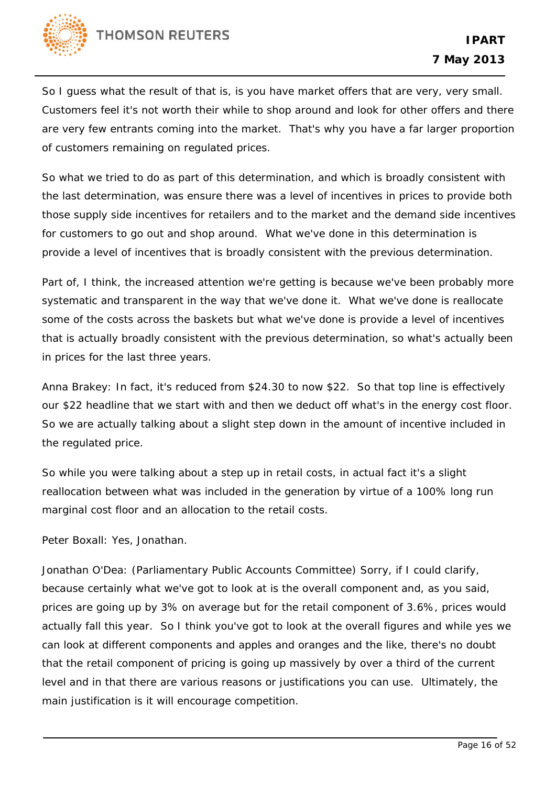

So I guess what the result of that is, is you have market offers that are very, very small. Customers feel it's not worth their while to shop around and look for other offers and there are very few entrants coming into the market. That's why you have a far larger proportion of customers remaining on regulated prices.

So what we tried to do as part of this determination, and which is broadly consistent with the last determination, was ensure there was a level of incentives in prices to provide both those supply side incentives for retailers and to the market and the demand side incentives for customers to go out and shop around. What we've done in this determination is provide a level of incentives that is broadly consistent with the previous determination.

Part of, I think, the increased attention we're getting is because we've been probably more systematic and transparent in the way that we've done it. What we've done is reallocate some of the costs across the baskets but what we've done is provide a level of incentives that is actually broadly consistent with the previous determination, so what's actually been in prices for the last three years.

Anna Brakey: In fact, it's reduced from \$24.30 to now \$22. So that top line is effectively our \$22 headline that we start with and then we deduct off what's in the energy cost floor. So we are actually talking about a slight step down in the amount of incentive included in the regulated price.

So while you were talking about a step up in retail costs, in actual fact it's a slight reallocation between what was included in the generation by virtue of a 100% long run marginal cost floor and an allocation to the retail costs.

Peter Boxall: Yes, Jonathan.

Jonathan O'Dea: (Parliamentary Public Accounts Committee) Sorry, if I could clarify, because certainly what we've got to look at is the overall component and, as you said, prices are going up by 3% on average but for the retail component of 3.6%, prices would actually fall this year. So I think you've got to look at the overall figures and while yes we can look at different components and apples and oranges and the like, there's no doubt that the retail component of pricing is going up massively by over a third of the current level and in that there are various reasons or justifications you can use. Ultimately, the main justification is it will encourage competition.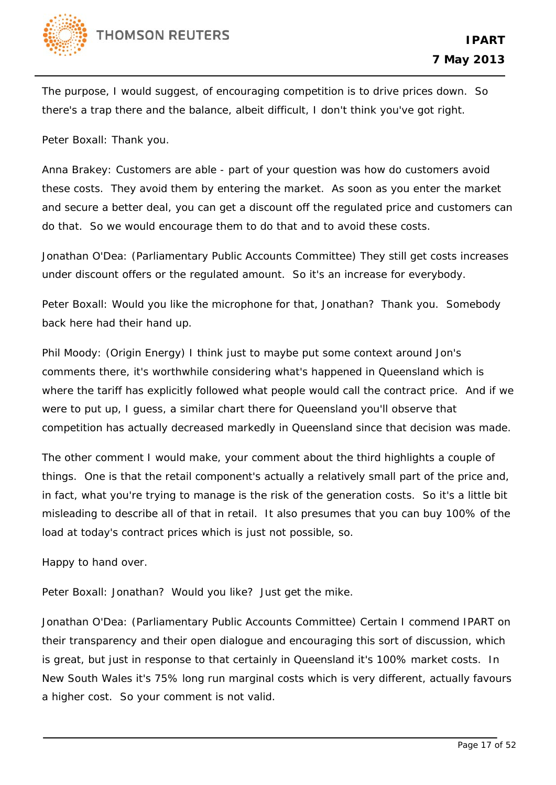

The purpose, I would suggest, of encouraging competition is to drive prices down. So there's a trap there and the balance, albeit difficult, I don't think you've got right.

Peter Boxall: Thank you.

Anna Brakey: Customers are able - part of your question was how do customers avoid these costs. They avoid them by entering the market. As soon as you enter the market and secure a better deal, you can get a discount off the regulated price and customers can do that. So we would encourage them to do that and to avoid these costs.

Jonathan O'Dea: (Parliamentary Public Accounts Committee) They still get costs increases under discount offers or the regulated amount. So it's an increase for everybody.

Peter Boxall: Would you like the microphone for that, Jonathan? Thank you. Somebody back here had their hand up.

Phil Moody: (Origin Energy) I think just to maybe put some context around Jon's comments there, it's worthwhile considering what's happened in Queensland which is where the tariff has explicitly followed what people would call the contract price. And if we were to put up, I guess, a similar chart there for Queensland you'll observe that competition has actually decreased markedly in Queensland since that decision was made.

The other comment I would make, your comment about the third highlights a couple of things. One is that the retail component's actually a relatively small part of the price and, in fact, what you're trying to manage is the risk of the generation costs. So it's a little bit misleading to describe all of that in retail. It also presumes that you can buy 100% of the load at today's contract prices which is just not possible, so.

Happy to hand over.

Peter Boxall: Jonathan? Would you like? Just get the mike.

Jonathan O'Dea: (Parliamentary Public Accounts Committee) Certain I commend IPART on their transparency and their open dialogue and encouraging this sort of discussion, which is great, but just in response to that certainly in Queensland it's 100% market costs. In New South Wales it's 75% long run marginal costs which is very different, actually favours a higher cost. So your comment is not valid.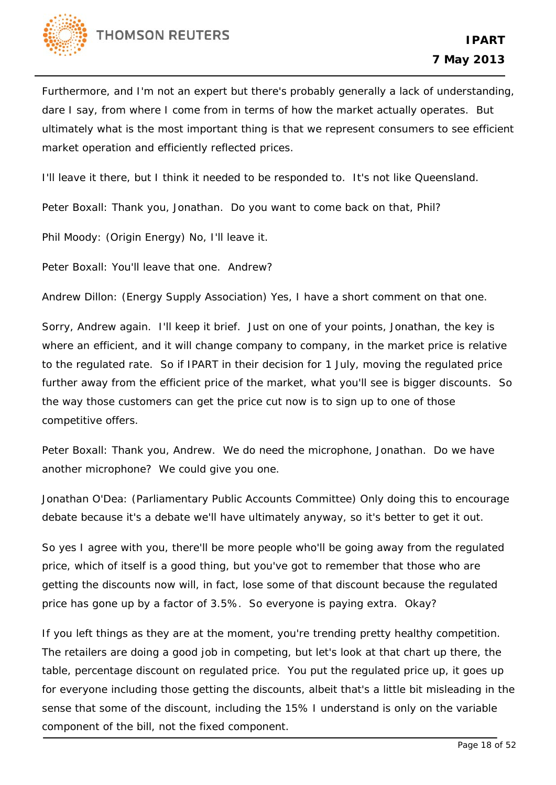

Furthermore, and I'm not an expert but there's probably generally a lack of understanding, dare I say, from where I come from in terms of how the market actually operates. But ultimately what is the most important thing is that we represent consumers to see efficient market operation and efficiently reflected prices.

I'll leave it there, but I think it needed to be responded to. It's not like Queensland.

Peter Boxall: Thank you, Jonathan. Do you want to come back on that, Phil?

Phil Moody: (Origin Energy) No, I'll leave it.

Peter Boxall: You'll leave that one. Andrew?

Andrew Dillon: (Energy Supply Association) Yes, I have a short comment on that one.

Sorry, Andrew again. I'll keep it brief. Just on one of your points, Jonathan, the key is where an efficient, and it will change company to company, in the market price is relative to the regulated rate. So if IPART in their decision for 1 July, moving the regulated price further away from the efficient price of the market, what you'll see is bigger discounts. So the way those customers can get the price cut now is to sign up to one of those competitive offers.

Peter Boxall: Thank you, Andrew. We do need the microphone, Jonathan. Do we have another microphone? We could give you one.

Jonathan O'Dea: (Parliamentary Public Accounts Committee) Only doing this to encourage debate because it's a debate we'll have ultimately anyway, so it's better to get it out.

So yes I agree with you, there'll be more people who'll be going away from the regulated price, which of itself is a good thing, but you've got to remember that those who are getting the discounts now will, in fact, lose some of that discount because the regulated price has gone up by a factor of 3.5%. So everyone is paying extra. Okay?

If you left things as they are at the moment, you're trending pretty healthy competition. The retailers are doing a good job in competing, but let's look at that chart up there, the table, percentage discount on regulated price. You put the regulated price up, it goes up for everyone including those getting the discounts, albeit that's a little bit misleading in the sense that some of the discount, including the 15% I understand is only on the variable component of the bill, not the fixed component.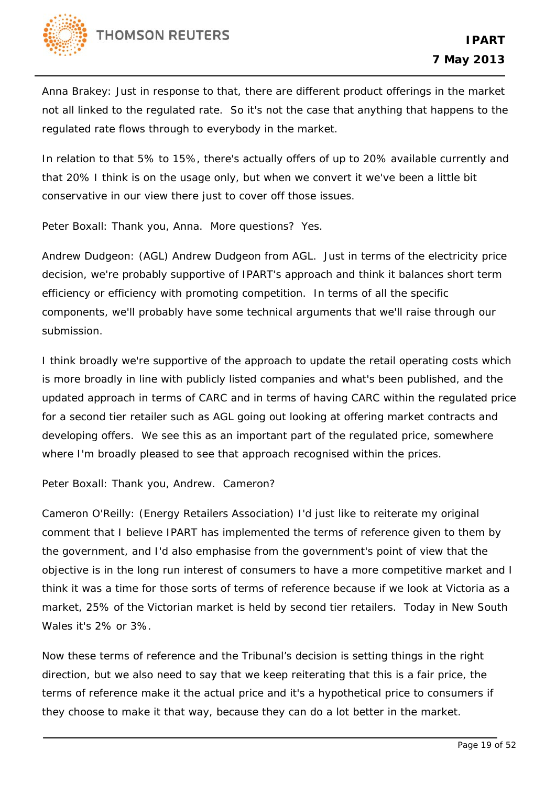

Anna Brakey: Just in response to that, there are different product offerings in the market not all linked to the regulated rate. So it's not the case that anything that happens to the regulated rate flows through to everybody in the market.

In relation to that 5% to 15%, there's actually offers of up to 20% available currently and that 20% I think is on the usage only, but when we convert it we've been a little bit conservative in our view there just to cover off those issues.

Peter Boxall: Thank you, Anna. More questions? Yes.

Andrew Dudgeon: (AGL) Andrew Dudgeon from AGL. Just in terms of the electricity price decision, we're probably supportive of IPART's approach and think it balances short term efficiency or efficiency with promoting competition. In terms of all the specific components, we'll probably have some technical arguments that we'll raise through our submission.

I think broadly we're supportive of the approach to update the retail operating costs which is more broadly in line with publicly listed companies and what's been published, and the updated approach in terms of CARC and in terms of having CARC within the regulated price for a second tier retailer such as AGL going out looking at offering market contracts and developing offers. We see this as an important part of the regulated price, somewhere where I'm broadly pleased to see that approach recognised within the prices.

Peter Boxall: Thank you, Andrew. Cameron?

Cameron O'Reilly: (Energy Retailers Association) I'd just like to reiterate my original comment that I believe IPART has implemented the terms of reference given to them by the government, and I'd also emphasise from the government's point of view that the objective is in the long run interest of consumers to have a more competitive market and I think it was a time for those sorts of terms of reference because if we look at Victoria as a market, 25% of the Victorian market is held by second tier retailers. Today in New South Wales it's 2% or 3%.

Now these terms of reference and the Tribunal's decision is setting things in the right direction, but we also need to say that we keep reiterating that this is a fair price, the terms of reference make it the actual price and it's a hypothetical price to consumers if they choose to make it that way, because they can do a lot better in the market.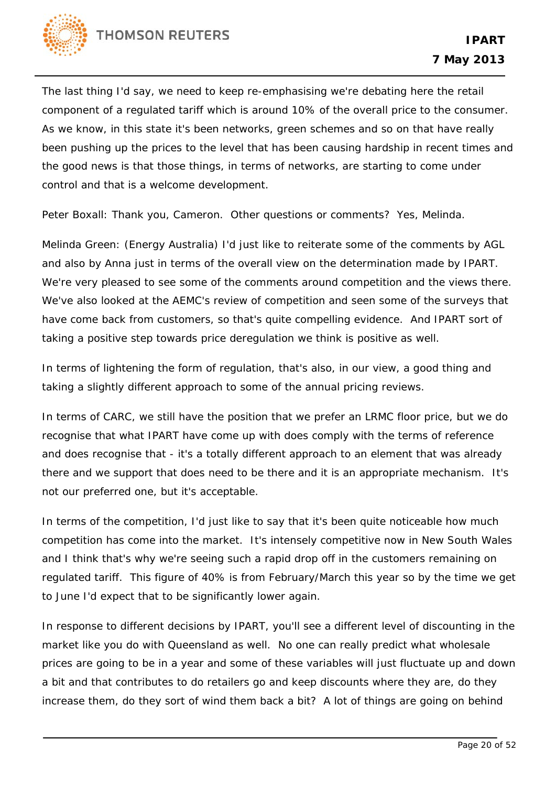

The last thing I'd say, we need to keep re-emphasising we're debating here the retail component of a regulated tariff which is around 10% of the overall price to the consumer. As we know, in this state it's been networks, green schemes and so on that have really been pushing up the prices to the level that has been causing hardship in recent times and the good news is that those things, in terms of networks, are starting to come under control and that is a welcome development.

Peter Boxall: Thank you, Cameron. Other questions or comments? Yes, Melinda.

Melinda Green: (Energy Australia) I'd just like to reiterate some of the comments by AGL and also by Anna just in terms of the overall view on the determination made by IPART. We're very pleased to see some of the comments around competition and the views there. We've also looked at the AEMC's review of competition and seen some of the surveys that have come back from customers, so that's quite compelling evidence. And IPART sort of taking a positive step towards price deregulation we think is positive as well.

In terms of lightening the form of regulation, that's also, in our view, a good thing and taking a slightly different approach to some of the annual pricing reviews.

In terms of CARC, we still have the position that we prefer an LRMC floor price, but we do recognise that what IPART have come up with does comply with the terms of reference and does recognise that - it's a totally different approach to an element that was already there and we support that does need to be there and it is an appropriate mechanism. It's not our preferred one, but it's acceptable.

In terms of the competition, I'd just like to say that it's been quite noticeable how much competition has come into the market. It's intensely competitive now in New South Wales and I think that's why we're seeing such a rapid drop off in the customers remaining on regulated tariff. This figure of 40% is from February/March this year so by the time we get to June I'd expect that to be significantly lower again.

In response to different decisions by IPART, you'll see a different level of discounting in the market like you do with Queensland as well. No one can really predict what wholesale prices are going to be in a year and some of these variables will just fluctuate up and down a bit and that contributes to do retailers go and keep discounts where they are, do they increase them, do they sort of wind them back a bit? A lot of things are going on behind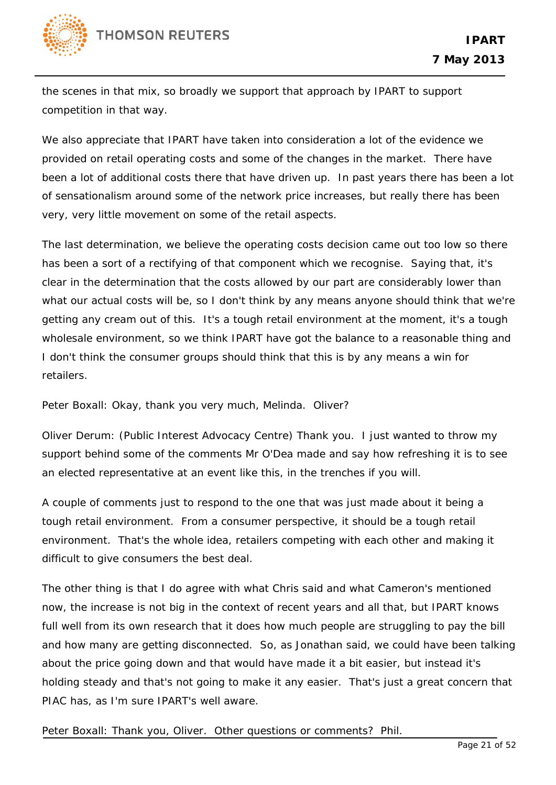

the scenes in that mix, so broadly we support that approach by IPART to support competition in that way.

We also appreciate that IPART have taken into consideration a lot of the evidence we provided on retail operating costs and some of the changes in the market. There have been a lot of additional costs there that have driven up. In past years there has been a lot of sensationalism around some of the network price increases, but really there has been very, very little movement on some of the retail aspects.

The last determination, we believe the operating costs decision came out too low so there has been a sort of a rectifying of that component which we recognise. Saying that, it's clear in the determination that the costs allowed by our part are considerably lower than what our actual costs will be, so I don't think by any means anyone should think that we're getting any cream out of this. It's a tough retail environment at the moment, it's a tough wholesale environment, so we think IPART have got the balance to a reasonable thing and I don't think the consumer groups should think that this is by any means a win for retailers.

Peter Boxall: Okay, thank you very much, Melinda. Oliver?

Oliver Derum: (Public Interest Advocacy Centre) Thank you. I just wanted to throw my support behind some of the comments Mr O'Dea made and say how refreshing it is to see an elected representative at an event like this, in the trenches if you will.

A couple of comments just to respond to the one that was just made about it being a tough retail environment. From a consumer perspective, it should be a tough retail environment. That's the whole idea, retailers competing with each other and making it difficult to give consumers the best deal.

The other thing is that I do agree with what Chris said and what Cameron's mentioned now, the increase is not big in the context of recent years and all that, but IPART knows full well from its own research that it does how much people are struggling to pay the bill and how many are getting disconnected. So, as Jonathan said, we could have been talking about the price going down and that would have made it a bit easier, but instead it's holding steady and that's not going to make it any easier. That's just a great concern that PIAC has, as I'm sure IPART's well aware.

Peter Boxall: Thank you, Oliver. Other questions or comments? Phil.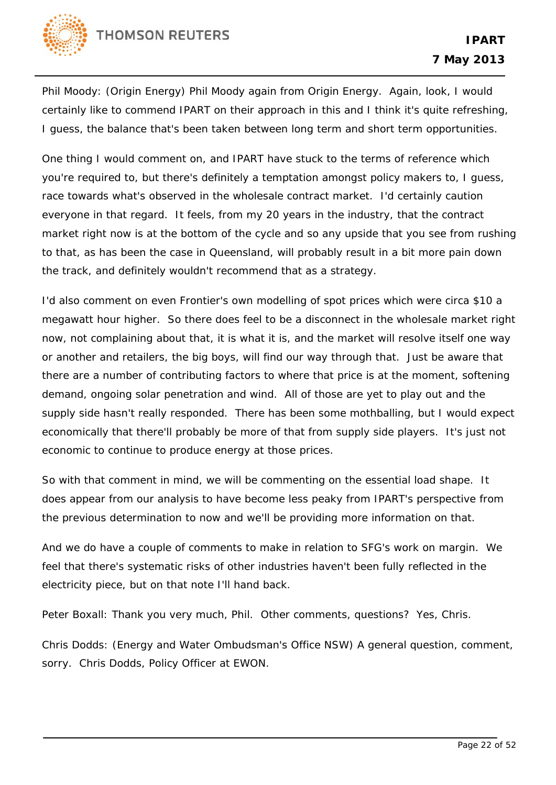

Phil Moody: (Origin Energy) Phil Moody again from Origin Energy. Again, look, I would certainly like to commend IPART on their approach in this and I think it's quite refreshing, I guess, the balance that's been taken between long term and short term opportunities.

One thing I would comment on, and IPART have stuck to the terms of reference which you're required to, but there's definitely a temptation amongst policy makers to, I guess, race towards what's observed in the wholesale contract market. I'd certainly caution everyone in that regard. It feels, from my 20 years in the industry, that the contract market right now is at the bottom of the cycle and so any upside that you see from rushing to that, as has been the case in Queensland, will probably result in a bit more pain down the track, and definitely wouldn't recommend that as a strategy.

I'd also comment on even Frontier's own modelling of spot prices which were circa \$10 a megawatt hour higher. So there does feel to be a disconnect in the wholesale market right now, not complaining about that, it is what it is, and the market will resolve itself one way or another and retailers, the big boys, will find our way through that. Just be aware that there are a number of contributing factors to where that price is at the moment, softening demand, ongoing solar penetration and wind. All of those are yet to play out and the supply side hasn't really responded. There has been some mothballing, but I would expect economically that there'll probably be more of that from supply side players. It's just not economic to continue to produce energy at those prices.

So with that comment in mind, we will be commenting on the essential load shape. It does appear from our analysis to have become less peaky from IPART's perspective from the previous determination to now and we'll be providing more information on that.

And we do have a couple of comments to make in relation to SFG's work on margin. We feel that there's systematic risks of other industries haven't been fully reflected in the electricity piece, but on that note I'll hand back.

Peter Boxall: Thank you very much, Phil. Other comments, questions? Yes, Chris.

Chris Dodds: (Energy and Water Ombudsman's Office NSW) A general question, comment, sorry. Chris Dodds, Policy Officer at EWON.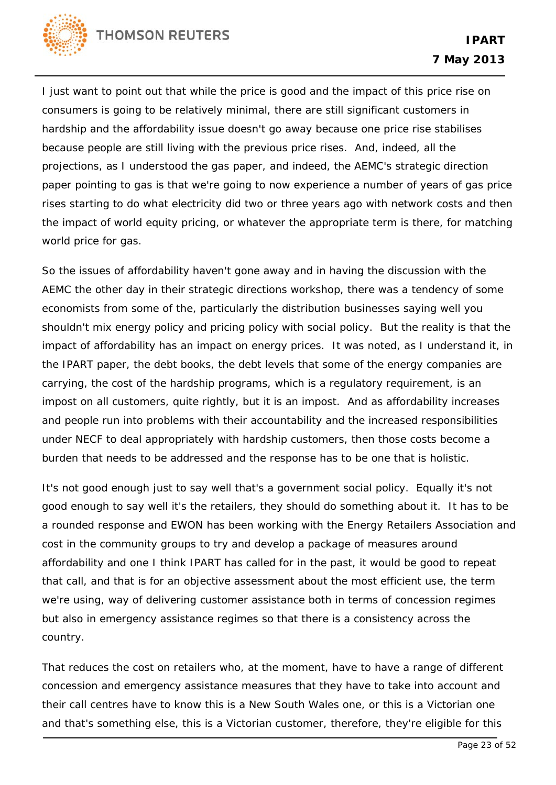

I just want to point out that while the price is good and the impact of this price rise on consumers is going to be relatively minimal, there are still significant customers in hardship and the affordability issue doesn't go away because one price rise stabilises because people are still living with the previous price rises. And, indeed, all the projections, as I understood the gas paper, and indeed, the AEMC's strategic direction paper pointing to gas is that we're going to now experience a number of years of gas price rises starting to do what electricity did two or three years ago with network costs and then the impact of world equity pricing, or whatever the appropriate term is there, for matching world price for gas.

So the issues of affordability haven't gone away and in having the discussion with the AEMC the other day in their strategic directions workshop, there was a tendency of some economists from some of the, particularly the distribution businesses saying well you shouldn't mix energy policy and pricing policy with social policy. But the reality is that the impact of affordability has an impact on energy prices. It was noted, as I understand it, in the IPART paper, the debt books, the debt levels that some of the energy companies are carrying, the cost of the hardship programs, which is a regulatory requirement, is an impost on all customers, quite rightly, but it is an impost. And as affordability increases and people run into problems with their accountability and the increased responsibilities under NECF to deal appropriately with hardship customers, then those costs become a burden that needs to be addressed and the response has to be one that is holistic.

It's not good enough just to say well that's a government social policy. Equally it's not good enough to say well it's the retailers, they should do something about it. It has to be a rounded response and EWON has been working with the Energy Retailers Association and cost in the community groups to try and develop a package of measures around affordability and one I think IPART has called for in the past, it would be good to repeat that call, and that is for an objective assessment about the most efficient use, the term we're using, way of delivering customer assistance both in terms of concession regimes but also in emergency assistance regimes so that there is a consistency across the country.

That reduces the cost on retailers who, at the moment, have to have a range of different concession and emergency assistance measures that they have to take into account and their call centres have to know this is a New South Wales one, or this is a Victorian one and that's something else, this is a Victorian customer, therefore, they're eligible for this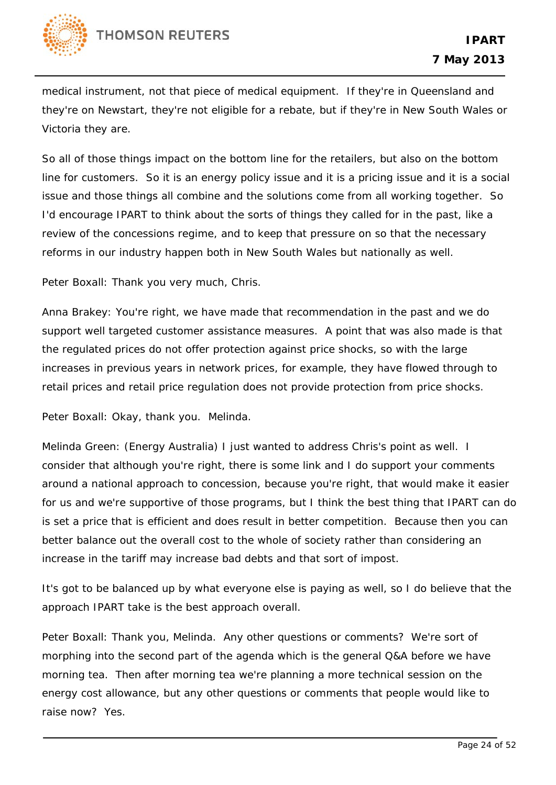

medical instrument, not that piece of medical equipment. If they're in Queensland and they're on Newstart, they're not eligible for a rebate, but if they're in New South Wales or Victoria they are.

So all of those things impact on the bottom line for the retailers, but also on the bottom line for customers. So it is an energy policy issue and it is a pricing issue and it is a social issue and those things all combine and the solutions come from all working together. So I'd encourage IPART to think about the sorts of things they called for in the past, like a review of the concessions regime, and to keep that pressure on so that the necessary reforms in our industry happen both in New South Wales but nationally as well.

Peter Boxall: Thank you very much, Chris.

Anna Brakey: You're right, we have made that recommendation in the past and we do support well targeted customer assistance measures. A point that was also made is that the regulated prices do not offer protection against price shocks, so with the large increases in previous years in network prices, for example, they have flowed through to retail prices and retail price regulation does not provide protection from price shocks.

Peter Boxall: Okay, thank you. Melinda.

Melinda Green: (Energy Australia) I just wanted to address Chris's point as well. I consider that although you're right, there is some link and I do support your comments around a national approach to concession, because you're right, that would make it easier for us and we're supportive of those programs, but I think the best thing that IPART can do is set a price that is efficient and does result in better competition. Because then you can better balance out the overall cost to the whole of society rather than considering an increase in the tariff may increase bad debts and that sort of impost.

It's got to be balanced up by what everyone else is paying as well, so I do believe that the approach IPART take is the best approach overall.

Peter Boxall: Thank you, Melinda. Any other questions or comments? We're sort of morphing into the second part of the agenda which is the general Q&A before we have morning tea. Then after morning tea we're planning a more technical session on the energy cost allowance, but any other questions or comments that people would like to raise now? Yes.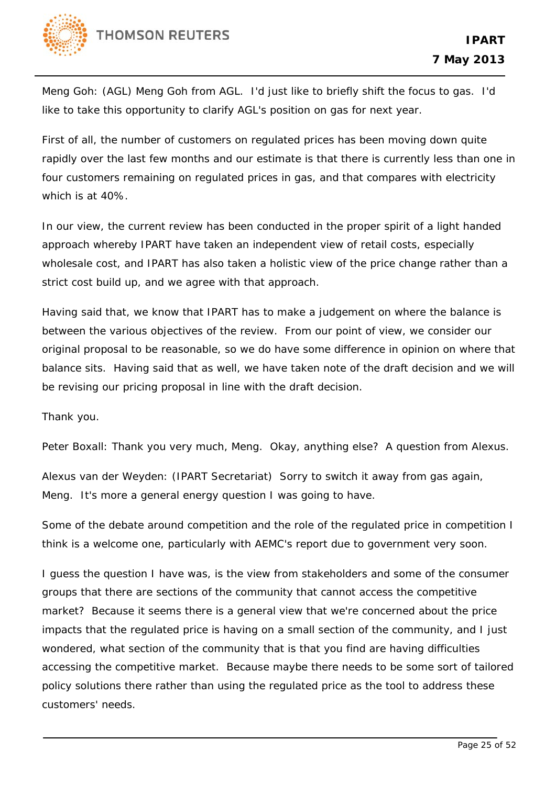

Meng Goh: (AGL) Meng Goh from AGL. I'd just like to briefly shift the focus to gas. I'd like to take this opportunity to clarify AGL's position on gas for next year.

First of all, the number of customers on regulated prices has been moving down quite rapidly over the last few months and our estimate is that there is currently less than one in four customers remaining on regulated prices in gas, and that compares with electricity which is at 40%.

In our view, the current review has been conducted in the proper spirit of a light handed approach whereby IPART have taken an independent view of retail costs, especially wholesale cost, and IPART has also taken a holistic view of the price change rather than a strict cost build up, and we agree with that approach.

Having said that, we know that IPART has to make a judgement on where the balance is between the various objectives of the review. From our point of view, we consider our original proposal to be reasonable, so we do have some difference in opinion on where that balance sits. Having said that as well, we have taken note of the draft decision and we will be revising our pricing proposal in line with the draft decision.

Thank you.

Peter Boxall: Thank you very much, Meng. Okay, anything else? A question from Alexus.

Alexus van der Weyden: (IPART Secretariat) Sorry to switch it away from gas again, Meng. It's more a general energy question I was going to have.

Some of the debate around competition and the role of the regulated price in competition I think is a welcome one, particularly with AEMC's report due to government very soon.

I guess the question I have was, is the view from stakeholders and some of the consumer groups that there are sections of the community that cannot access the competitive market? Because it seems there is a general view that we're concerned about the price impacts that the regulated price is having on a small section of the community, and I just wondered, what section of the community that is that you find are having difficulties accessing the competitive market. Because maybe there needs to be some sort of tailored policy solutions there rather than using the regulated price as the tool to address these customers' needs.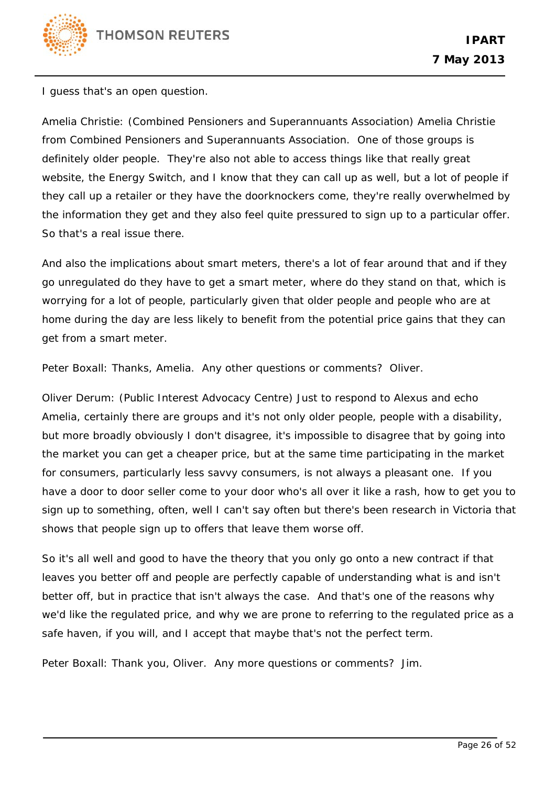

I guess that's an open question.

Amelia Christie: (Combined Pensioners and Superannuants Association) Amelia Christie from Combined Pensioners and Superannuants Association. One of those groups is definitely older people. They're also not able to access things like that really great website, the Energy Switch, and I know that they can call up as well, but a lot of people if they call up a retailer or they have the doorknockers come, they're really overwhelmed by the information they get and they also feel quite pressured to sign up to a particular offer. So that's a real issue there.

And also the implications about smart meters, there's a lot of fear around that and if they go unregulated do they have to get a smart meter, where do they stand on that, which is worrying for a lot of people, particularly given that older people and people who are at home during the day are less likely to benefit from the potential price gains that they can get from a smart meter.

Peter Boxall: Thanks, Amelia. Any other questions or comments? Oliver.

Oliver Derum: (Public Interest Advocacy Centre) Just to respond to Alexus and echo Amelia, certainly there are groups and it's not only older people, people with a disability, but more broadly obviously I don't disagree, it's impossible to disagree that by going into the market you can get a cheaper price, but at the same time participating in the market for consumers, particularly less savvy consumers, is not always a pleasant one. If you have a door to door seller come to your door who's all over it like a rash, how to get you to sign up to something, often, well I can't say often but there's been research in Victoria that shows that people sign up to offers that leave them worse off.

So it's all well and good to have the theory that you only go onto a new contract if that leaves you better off and people are perfectly capable of understanding what is and isn't better off, but in practice that isn't always the case. And that's one of the reasons why we'd like the regulated price, and why we are prone to referring to the regulated price as a safe haven, if you will, and I accept that maybe that's not the perfect term.

Peter Boxall: Thank you, Oliver. Any more questions or comments? Jim.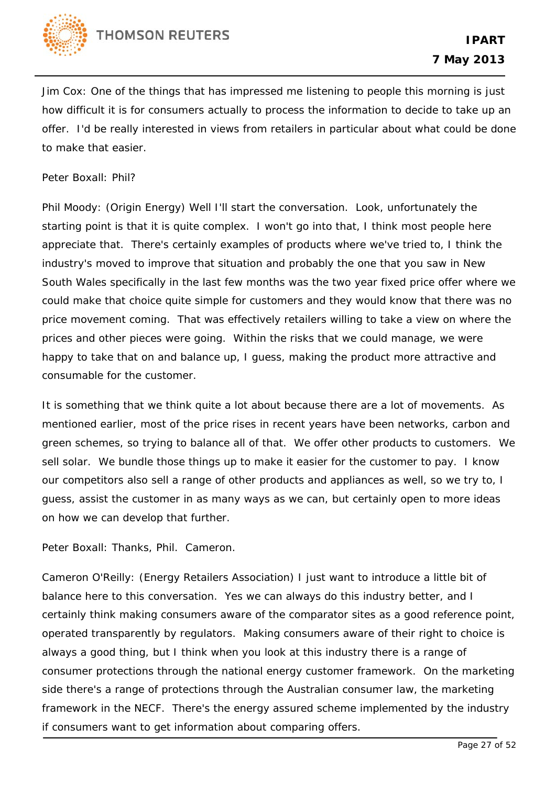

Jim Cox: One of the things that has impressed me listening to people this morning is just how difficult it is for consumers actually to process the information to decide to take up an offer. I'd be really interested in views from retailers in particular about what could be done to make that easier.

Peter Boxall: Phil?

Phil Moody: (Origin Energy) Well I'll start the conversation. Look, unfortunately the starting point is that it is quite complex. I won't go into that, I think most people here appreciate that. There's certainly examples of products where we've tried to, I think the industry's moved to improve that situation and probably the one that you saw in New South Wales specifically in the last few months was the two year fixed price offer where we could make that choice quite simple for customers and they would know that there was no price movement coming. That was effectively retailers willing to take a view on where the prices and other pieces were going. Within the risks that we could manage, we were happy to take that on and balance up, I guess, making the product more attractive and consumable for the customer.

It is something that we think quite a lot about because there are a lot of movements. As mentioned earlier, most of the price rises in recent years have been networks, carbon and green schemes, so trying to balance all of that. We offer other products to customers. We sell solar. We bundle those things up to make it easier for the customer to pay. I know our competitors also sell a range of other products and appliances as well, so we try to, I guess, assist the customer in as many ways as we can, but certainly open to more ideas on how we can develop that further.

Peter Boxall: Thanks, Phil. Cameron.

Cameron O'Reilly: (Energy Retailers Association) I just want to introduce a little bit of balance here to this conversation. Yes we can always do this industry better, and I certainly think making consumers aware of the comparator sites as a good reference point, operated transparently by regulators. Making consumers aware of their right to choice is always a good thing, but I think when you look at this industry there is a range of consumer protections through the national energy customer framework. On the marketing side there's a range of protections through the Australian consumer law, the marketing framework in the NECF. There's the energy assured scheme implemented by the industry if consumers want to get information about comparing offers.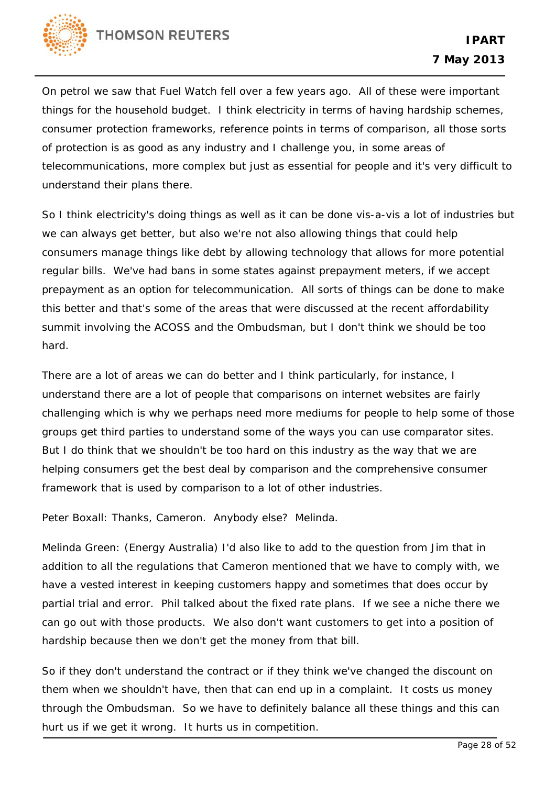

On petrol we saw that Fuel Watch fell over a few years ago. All of these were important things for the household budget. I think electricity in terms of having hardship schemes, consumer protection frameworks, reference points in terms of comparison, all those sorts of protection is as good as any industry and I challenge you, in some areas of telecommunications, more complex but just as essential for people and it's very difficult to understand their plans there.

So I think electricity's doing things as well as it can be done vis-a-vis a lot of industries but we can always get better, but also we're not also allowing things that could help consumers manage things like debt by allowing technology that allows for more potential regular bills. We've had bans in some states against prepayment meters, if we accept prepayment as an option for telecommunication. All sorts of things can be done to make this better and that's some of the areas that were discussed at the recent affordability summit involving the ACOSS and the Ombudsman, but I don't think we should be too hard.

There are a lot of areas we can do better and I think particularly, for instance, I understand there are a lot of people that comparisons on internet websites are fairly challenging which is why we perhaps need more mediums for people to help some of those groups get third parties to understand some of the ways you can use comparator sites. But I do think that we shouldn't be too hard on this industry as the way that we are helping consumers get the best deal by comparison and the comprehensive consumer framework that is used by comparison to a lot of other industries.

Peter Boxall: Thanks, Cameron. Anybody else? Melinda.

Melinda Green: (Energy Australia) I'd also like to add to the question from Jim that in addition to all the regulations that Cameron mentioned that we have to comply with, we have a vested interest in keeping customers happy and sometimes that does occur by partial trial and error. Phil talked about the fixed rate plans. If we see a niche there we can go out with those products. We also don't want customers to get into a position of hardship because then we don't get the money from that bill.

So if they don't understand the contract or if they think we've changed the discount on them when we shouldn't have, then that can end up in a complaint. It costs us money through the Ombudsman. So we have to definitely balance all these things and this can hurt us if we get it wrong. It hurts us in competition.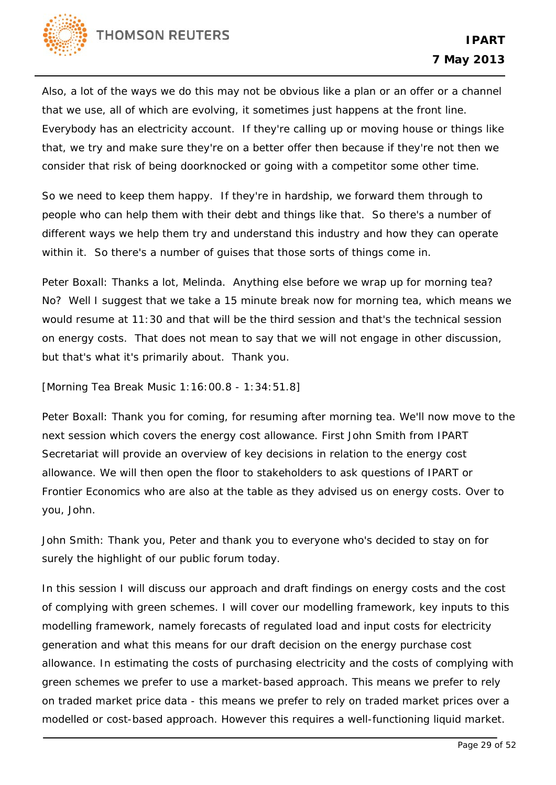

Also, a lot of the ways we do this may not be obvious like a plan or an offer or a channel that we use, all of which are evolving, it sometimes just happens at the front line. Everybody has an electricity account. If they're calling up or moving house or things like that, we try and make sure they're on a better offer then because if they're not then we consider that risk of being doorknocked or going with a competitor some other time.

So we need to keep them happy. If they're in hardship, we forward them through to people who can help them with their debt and things like that. So there's a number of different ways we help them try and understand this industry and how they can operate within it. So there's a number of guises that those sorts of things come in.

Peter Boxall: Thanks a lot, Melinda. Anything else before we wrap up for morning tea? No? Well I suggest that we take a 15 minute break now for morning tea, which means we would resume at 11:30 and that will be the third session and that's the technical session on energy costs. That does not mean to say that we will not engage in other discussion, but that's what it's primarily about. Thank you.

[Morning Tea Break Music 1:16:00.8 - 1:34:51.8]

Peter Boxall: Thank you for coming, for resuming after morning tea. We'll now move to the next session which covers the energy cost allowance. First John Smith from IPART Secretariat will provide an overview of key decisions in relation to the energy cost allowance. We will then open the floor to stakeholders to ask questions of IPART or Frontier Economics who are also at the table as they advised us on energy costs. Over to you, John.

John Smith: Thank you, Peter and thank you to everyone who's decided to stay on for surely the highlight of our public forum today.

In this session I will discuss our approach and draft findings on energy costs and the cost of complying with green schemes. I will cover our modelling framework, key inputs to this modelling framework, namely forecasts of regulated load and input costs for electricity generation and what this means for our draft decision on the energy purchase cost allowance. In estimating the costs of purchasing electricity and the costs of complying with green schemes we prefer to use a market-based approach. This means we prefer to rely on traded market price data - this means we prefer to rely on traded market prices over a modelled or cost-based approach. However this requires a well-functioning liquid market.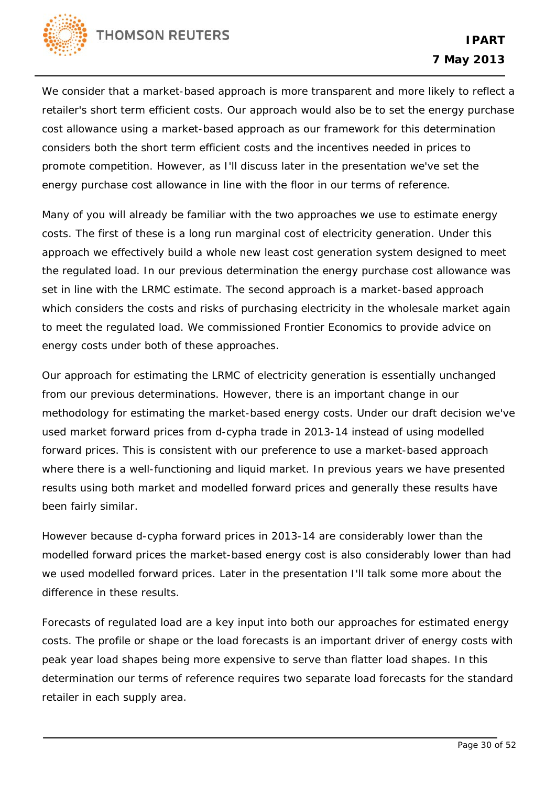

We consider that a market-based approach is more transparent and more likely to reflect a retailer's short term efficient costs. Our approach would also be to set the energy purchase cost allowance using a market-based approach as our framework for this determination considers both the short term efficient costs and the incentives needed in prices to promote competition. However, as I'll discuss later in the presentation we've set the energy purchase cost allowance in line with the floor in our terms of reference.

Many of you will already be familiar with the two approaches we use to estimate energy costs. The first of these is a long run marginal cost of electricity generation. Under this approach we effectively build a whole new least cost generation system designed to meet the regulated load. In our previous determination the energy purchase cost allowance was set in line with the LRMC estimate. The second approach is a market-based approach which considers the costs and risks of purchasing electricity in the wholesale market again to meet the regulated load. We commissioned Frontier Economics to provide advice on energy costs under both of these approaches.

Our approach for estimating the LRMC of electricity generation is essentially unchanged from our previous determinations. However, there is an important change in our methodology for estimating the market-based energy costs. Under our draft decision we've used market forward prices from d-cypha trade in 2013-14 instead of using modelled forward prices. This is consistent with our preference to use a market-based approach where there is a well-functioning and liquid market. In previous years we have presented results using both market and modelled forward prices and generally these results have been fairly similar.

However because d-cypha forward prices in 2013-14 are considerably lower than the modelled forward prices the market-based energy cost is also considerably lower than had we used modelled forward prices. Later in the presentation I'll talk some more about the difference in these results.

Forecasts of regulated load are a key input into both our approaches for estimated energy costs. The profile or shape or the load forecasts is an important driver of energy costs with peak year load shapes being more expensive to serve than flatter load shapes. In this determination our terms of reference requires two separate load forecasts for the standard retailer in each supply area.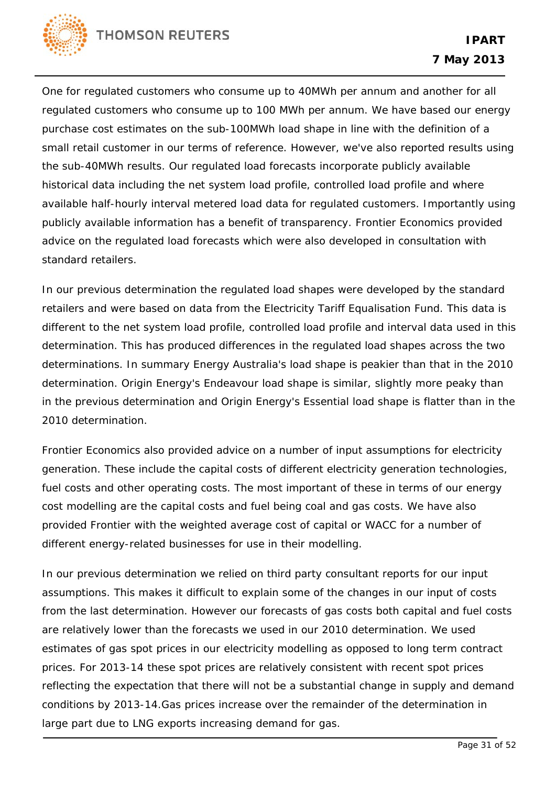

One for regulated customers who consume up to 40MWh per annum and another for all regulated customers who consume up to 100 MWh per annum. We have based our energy purchase cost estimates on the sub-100MWh load shape in line with the definition of a small retail customer in our terms of reference. However, we've also reported results using the sub-40MWh results. Our regulated load forecasts incorporate publicly available historical data including the net system load profile, controlled load profile and where available half-hourly interval metered load data for regulated customers. Importantly using publicly available information has a benefit of transparency. Frontier Economics provided advice on the regulated load forecasts which were also developed in consultation with standard retailers.

In our previous determination the regulated load shapes were developed by the standard retailers and were based on data from the Electricity Tariff Equalisation Fund. This data is different to the net system load profile, controlled load profile and interval data used in this determination. This has produced differences in the regulated load shapes across the two determinations. In summary Energy Australia's load shape is peakier than that in the 2010 determination. Origin Energy's Endeavour load shape is similar, slightly more peaky than in the previous determination and Origin Energy's Essential load shape is flatter than in the 2010 determination.

Frontier Economics also provided advice on a number of input assumptions for electricity generation. These include the capital costs of different electricity generation technologies, fuel costs and other operating costs. The most important of these in terms of our energy cost modelling are the capital costs and fuel being coal and gas costs. We have also provided Frontier with the weighted average cost of capital or WACC for a number of different energy-related businesses for use in their modelling.

In our previous determination we relied on third party consultant reports for our input assumptions. This makes it difficult to explain some of the changes in our input of costs from the last determination. However our forecasts of gas costs both capital and fuel costs are relatively lower than the forecasts we used in our 2010 determination. We used estimates of gas spot prices in our electricity modelling as opposed to long term contract prices. For 2013-14 these spot prices are relatively consistent with recent spot prices reflecting the expectation that there will not be a substantial change in supply and demand conditions by 2013-14.Gas prices increase over the remainder of the determination in large part due to LNG exports increasing demand for gas.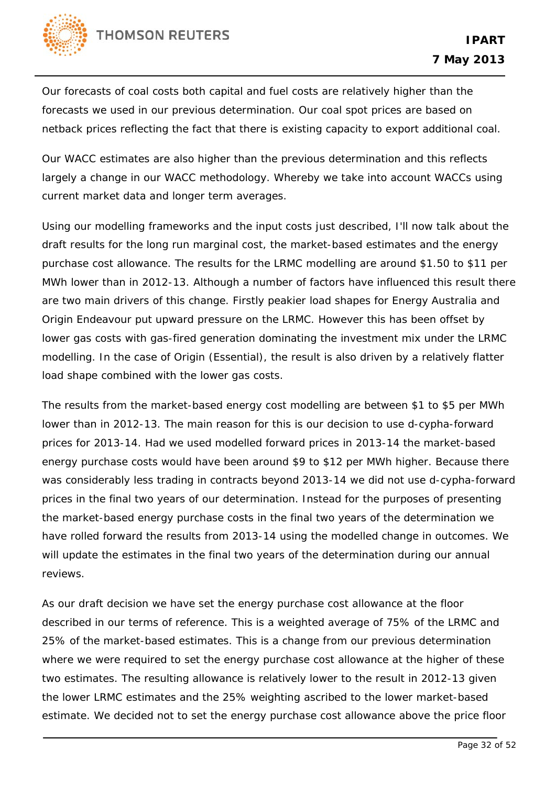

Our forecasts of coal costs both capital and fuel costs are relatively higher than the forecasts we used in our previous determination. Our coal spot prices are based on netback prices reflecting the fact that there is existing capacity to export additional coal.

Our WACC estimates are also higher than the previous determination and this reflects largely a change in our WACC methodology. Whereby we take into account WACCs using current market data and longer term averages.

Using our modelling frameworks and the input costs just described, I'll now talk about the draft results for the long run marginal cost, the market-based estimates and the energy purchase cost allowance. The results for the LRMC modelling are around \$1.50 to \$11 per MWh lower than in 2012-13. Although a number of factors have influenced this result there are two main drivers of this change. Firstly peakier load shapes for Energy Australia and Origin Endeavour put upward pressure on the LRMC. However this has been offset by lower gas costs with gas-fired generation dominating the investment mix under the LRMC modelling. In the case of Origin (Essential), the result is also driven by a relatively flatter load shape combined with the lower gas costs.

The results from the market-based energy cost modelling are between \$1 to \$5 per MWh lower than in 2012-13. The main reason for this is our decision to use d-cypha-forward prices for 2013-14. Had we used modelled forward prices in 2013-14 the market-based energy purchase costs would have been around \$9 to \$12 per MWh higher. Because there was considerably less trading in contracts beyond 2013-14 we did not use d-cypha-forward prices in the final two years of our determination. Instead for the purposes of presenting the market-based energy purchase costs in the final two years of the determination we have rolled forward the results from 2013-14 using the modelled change in outcomes. We will update the estimates in the final two years of the determination during our annual reviews.

As our draft decision we have set the energy purchase cost allowance at the floor described in our terms of reference. This is a weighted average of 75% of the LRMC and 25% of the market-based estimates. This is a change from our previous determination where we were required to set the energy purchase cost allowance at the higher of these two estimates. The resulting allowance is relatively lower to the result in 2012-13 given the lower LRMC estimates and the 25% weighting ascribed to the lower market-based estimate. We decided not to set the energy purchase cost allowance above the price floor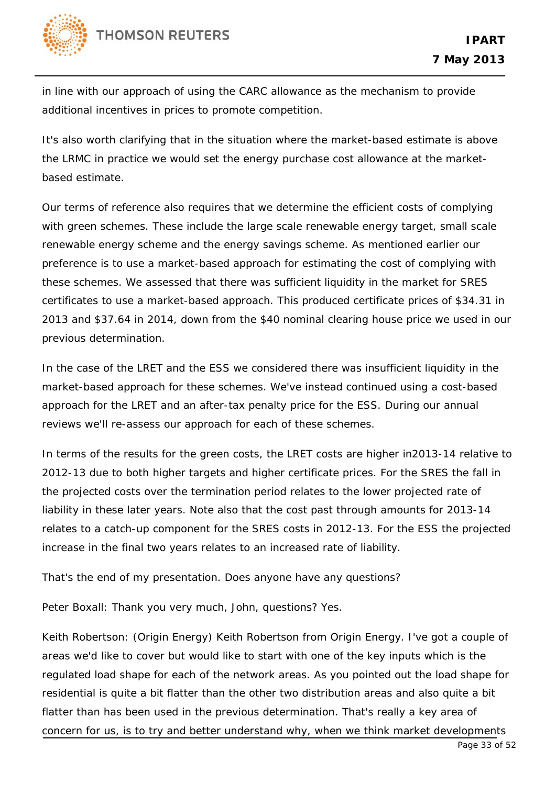

in line with our approach of using the CARC allowance as the mechanism to provide additional incentives in prices to promote competition.

It's also worth clarifying that in the situation where the market-based estimate is above the LRMC in practice we would set the energy purchase cost allowance at the marketbased estimate.

Our terms of reference also requires that we determine the efficient costs of complying with green schemes. These include the large scale renewable energy target, small scale renewable energy scheme and the energy savings scheme. As mentioned earlier our preference is to use a market-based approach for estimating the cost of complying with these schemes. We assessed that there was sufficient liquidity in the market for SRES certificates to use a market-based approach. This produced certificate prices of \$34.31 in 2013 and \$37.64 in 2014, down from the \$40 nominal clearing house price we used in our previous determination.

In the case of the LRET and the ESS we considered there was insufficient liquidity in the market-based approach for these schemes. We've instead continued using a cost-based approach for the LRET and an after-tax penalty price for the ESS. During our annual reviews we'll re-assess our approach for each of these schemes.

In terms of the results for the green costs, the LRET costs are higher in2013-14 relative to 2012-13 due to both higher targets and higher certificate prices. For the SRES the fall in the projected costs over the termination period relates to the lower projected rate of liability in these later years. Note also that the cost past through amounts for 2013-14 relates to a catch-up component for the SRES costs in 2012-13. For the ESS the projected increase in the final two years relates to an increased rate of liability.

That's the end of my presentation. Does anyone have any questions?

Peter Boxall: Thank you very much, John, questions? Yes.

Keith Robertson: (Origin Energy) Keith Robertson from Origin Energy. I've got a couple of areas we'd like to cover but would like to start with one of the key inputs which is the regulated load shape for each of the network areas. As you pointed out the load shape for residential is quite a bit flatter than the other two distribution areas and also quite a bit flatter than has been used in the previous determination. That's really a key area of concern for us, is to try and better understand why, when we think market developments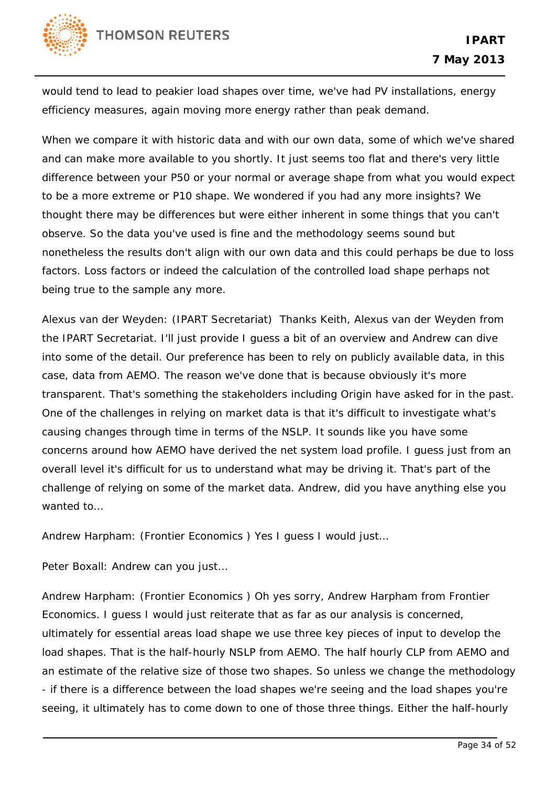would tend to lead to peakier load shapes over time, we've had PV installations, energy efficiency measures, again moving more energy rather than peak demand.

When we compare it with historic data and with our own data, some of which we've shared and can make more available to you shortly. It just seems too flat and there's very little difference between your P50 or your normal or average shape from what you would expect to be a more extreme or P10 shape. We wondered if you had any more insights? We thought there may be differences but were either inherent in some things that you can't observe. So the data you've used is fine and the methodology seems sound but nonetheless the results don't align with our own data and this could perhaps be due to loss factors. Loss factors or indeed the calculation of the controlled load shape perhaps not being true to the sample any more.

Alexus van der Weyden: (IPART Secretariat) Thanks Keith, Alexus van der Weyden from the IPART Secretariat. I'll just provide I guess a bit of an overview and Andrew can dive into some of the detail. Our preference has been to rely on publicly available data, in this case, data from AEMO. The reason we've done that is because obviously it's more transparent. That's something the stakeholders including Origin have asked for in the past. One of the challenges in relying on market data is that it's difficult to investigate what's causing changes through time in terms of the NSLP. It sounds like you have some concerns around how AEMO have derived the net system load profile. I guess just from an overall level it's difficult for us to understand what may be driving it. That's part of the challenge of relying on some of the market data. Andrew, did you have anything else you wanted to…

Andrew Harpham: (Frontier Economics ) Yes I guess I would just…

Peter Boxall: Andrew can you just…

Andrew Harpham: (Frontier Economics ) Oh yes sorry, Andrew Harpham from Frontier Economics. I guess I would just reiterate that as far as our analysis is concerned, ultimately for essential areas load shape we use three key pieces of input to develop the load shapes. That is the half-hourly NSLP from AEMO. The half hourly CLP from AEMO and an estimate of the relative size of those two shapes. So unless we change the methodology - if there is a difference between the load shapes we're seeing and the load shapes you're seeing, it ultimately has to come down to one of those three things. Either the half-hourly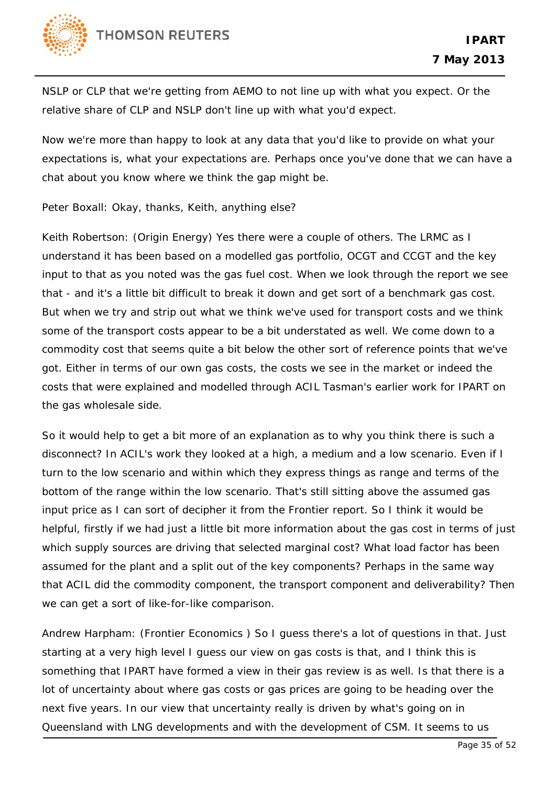

NSLP or CLP that we're getting from AEMO to not line up with what you expect. Or the relative share of CLP and NSLP don't line up with what you'd expect.

Now we're more than happy to look at any data that you'd like to provide on what your expectations is, what your expectations are. Perhaps once you've done that we can have a chat about you know where we think the gap might be.

Peter Boxall: Okay, thanks, Keith, anything else?

Keith Robertson: (Origin Energy) Yes there were a couple of others. The LRMC as I understand it has been based on a modelled gas portfolio, OCGT and CCGT and the key input to that as you noted was the gas fuel cost. When we look through the report we see that - and it's a little bit difficult to break it down and get sort of a benchmark gas cost. But when we try and strip out what we think we've used for transport costs and we think some of the transport costs appear to be a bit understated as well. We come down to a commodity cost that seems quite a bit below the other sort of reference points that we've got. Either in terms of our own gas costs, the costs we see in the market or indeed the costs that were explained and modelled through ACIL Tasman's earlier work for IPART on the gas wholesale side.

So it would help to get a bit more of an explanation as to why you think there is such a disconnect? In ACIL's work they looked at a high, a medium and a low scenario. Even if I turn to the low scenario and within which they express things as range and terms of the bottom of the range within the low scenario. That's still sitting above the assumed gas input price as I can sort of decipher it from the Frontier report. So I think it would be helpful, firstly if we had just a little bit more information about the gas cost in terms of just which supply sources are driving that selected marginal cost? What load factor has been assumed for the plant and a split out of the key components? Perhaps in the same way that ACIL did the commodity component, the transport component and deliverability? Then we can get a sort of like-for-like comparison.

Andrew Harpham: (Frontier Economics ) So I guess there's a lot of questions in that. Just starting at a very high level I guess our view on gas costs is that, and I think this is something that IPART have formed a view in their gas review is as well. Is that there is a lot of uncertainty about where gas costs or gas prices are going to be heading over the next five years. In our view that uncertainty really is driven by what's going on in Queensland with LNG developments and with the development of CSM. It seems to us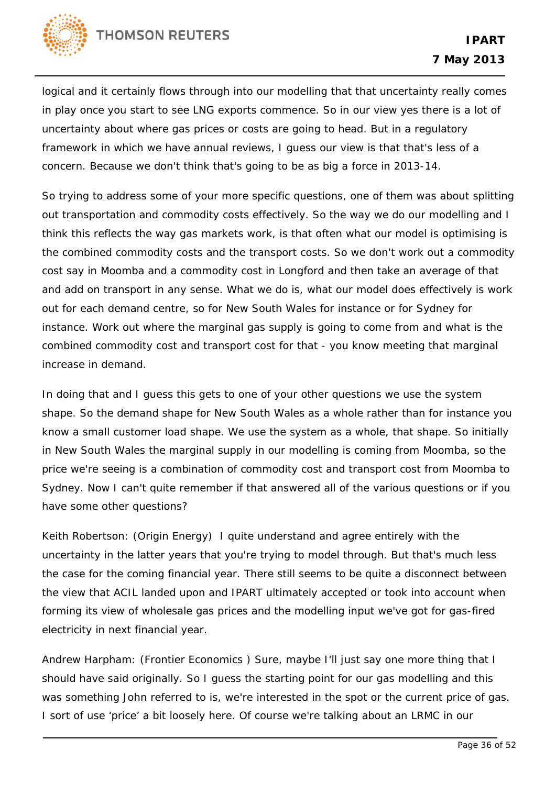

logical and it certainly flows through into our modelling that that uncertainty really comes in play once you start to see LNG exports commence. So in our view yes there is a lot of uncertainty about where gas prices or costs are going to head. But in a regulatory framework in which we have annual reviews, I guess our view is that that's less of a concern. Because we don't think that's going to be as big a force in 2013-14.

So trying to address some of your more specific questions, one of them was about splitting out transportation and commodity costs effectively. So the way we do our modelling and I think this reflects the way gas markets work, is that often what our model is optimising is the combined commodity costs and the transport costs. So we don't work out a commodity cost say in Moomba and a commodity cost in Longford and then take an average of that and add on transport in any sense. What we do is, what our model does effectively is work out for each demand centre, so for New South Wales for instance or for Sydney for instance. Work out where the marginal gas supply is going to come from and what is the combined commodity cost and transport cost for that - you know meeting that marginal increase in demand.

In doing that and I guess this gets to one of your other questions we use the system shape. So the demand shape for New South Wales as a whole rather than for instance you know a small customer load shape. We use the system as a whole, that shape. So initially in New South Wales the marginal supply in our modelling is coming from Moomba, so the price we're seeing is a combination of commodity cost and transport cost from Moomba to Sydney. Now I can't quite remember if that answered all of the various questions or if you have some other questions?

Keith Robertson: (Origin Energy) I quite understand and agree entirely with the uncertainty in the latter years that you're trying to model through. But that's much less the case for the coming financial year. There still seems to be quite a disconnect between the view that ACIL landed upon and IPART ultimately accepted or took into account when forming its view of wholesale gas prices and the modelling input we've got for gas-fired electricity in next financial year.

Andrew Harpham: (Frontier Economics ) Sure, maybe I'll just say one more thing that I should have said originally. So I guess the starting point for our gas modelling and this was something John referred to is, we're interested in the spot or the current price of gas. I sort of use 'price' a bit loosely here. Of course we're talking about an LRMC in our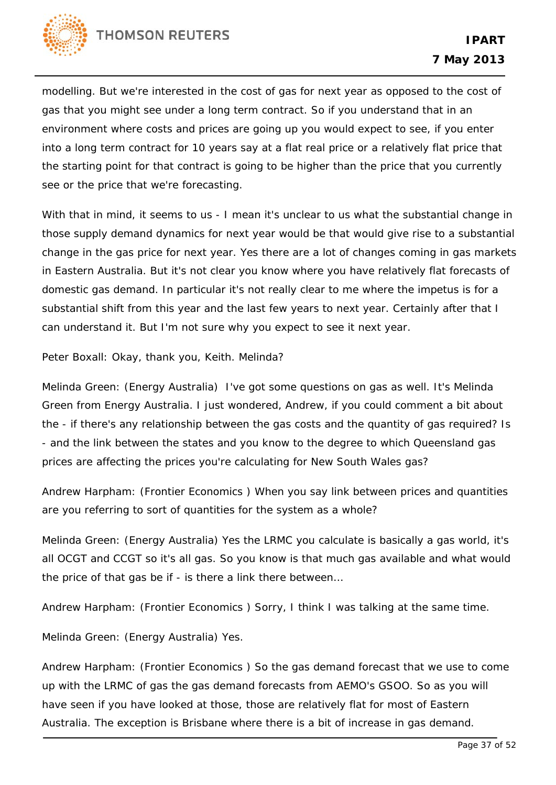

modelling. But we're interested in the cost of gas for next year as opposed to the cost of gas that you might see under a long term contract. So if you understand that in an environment where costs and prices are going up you would expect to see, if you enter into a long term contract for 10 years say at a flat real price or a relatively flat price that the starting point for that contract is going to be higher than the price that you currently see or the price that we're forecasting.

With that in mind, it seems to us - I mean it's unclear to us what the substantial change in those supply demand dynamics for next year would be that would give rise to a substantial change in the gas price for next year. Yes there are a lot of changes coming in gas markets in Eastern Australia. But it's not clear you know where you have relatively flat forecasts of domestic gas demand. In particular it's not really clear to me where the impetus is for a substantial shift from this year and the last few years to next year. Certainly after that I can understand it. But I'm not sure why you expect to see it next year.

Peter Boxall: Okay, thank you, Keith. Melinda?

Melinda Green: (Energy Australia) I've got some questions on gas as well. It's Melinda Green from Energy Australia. I just wondered, Andrew, if you could comment a bit about the - if there's any relationship between the gas costs and the quantity of gas required? Is - and the link between the states and you know to the degree to which Queensland gas prices are affecting the prices you're calculating for New South Wales gas?

Andrew Harpham: (Frontier Economics ) When you say link between prices and quantities are you referring to sort of quantities for the system as a whole?

Melinda Green: (Energy Australia) Yes the LRMC you calculate is basically a gas world, it's all OCGT and CCGT so it's all gas. So you know is that much gas available and what would the price of that gas be if - is there a link there between…

Andrew Harpham: (Frontier Economics ) Sorry, I think I was talking at the same time.

Melinda Green: (Energy Australia) Yes.

Andrew Harpham: (Frontier Economics ) So the gas demand forecast that we use to come up with the LRMC of gas the gas demand forecasts from AEMO's GSOO. So as you will have seen if you have looked at those, those are relatively flat for most of Eastern Australia. The exception is Brisbane where there is a bit of increase in gas demand.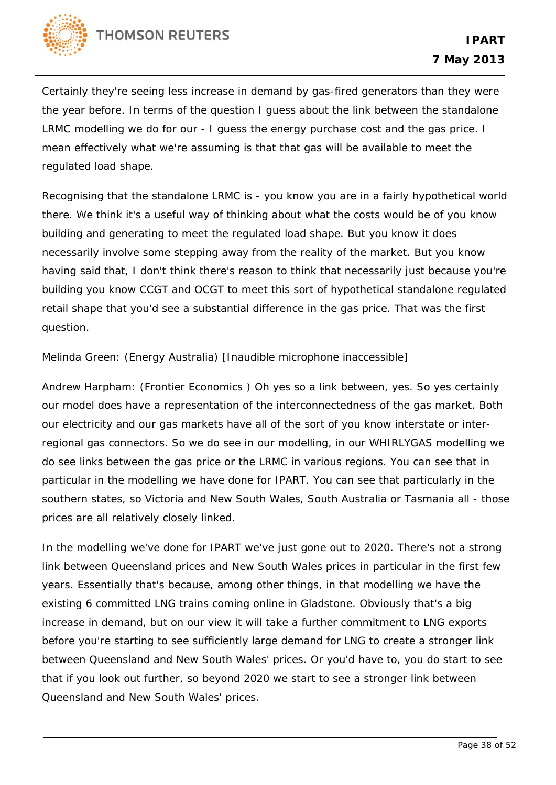

Certainly they're seeing less increase in demand by gas-fired generators than they were the year before. In terms of the question I guess about the link between the standalone LRMC modelling we do for our - I guess the energy purchase cost and the gas price. I mean effectively what we're assuming is that that gas will be available to meet the regulated load shape.

Recognising that the standalone LRMC is - you know you are in a fairly hypothetical world there. We think it's a useful way of thinking about what the costs would be of you know building and generating to meet the regulated load shape. But you know it does necessarily involve some stepping away from the reality of the market. But you know having said that, I don't think there's reason to think that necessarily just because you're building you know CCGT and OCGT to meet this sort of hypothetical standalone regulated retail shape that you'd see a substantial difference in the gas price. That was the first question.

Melinda Green: (Energy Australia) [Inaudible microphone inaccessible]

Andrew Harpham: (Frontier Economics ) Oh yes so a link between, yes. So yes certainly our model does have a representation of the interconnectedness of the gas market. Both our electricity and our gas markets have all of the sort of you know interstate or interregional gas connectors. So we do see in our modelling, in our WHIRLYGAS modelling we do see links between the gas price or the LRMC in various regions. You can see that in particular in the modelling we have done for IPART. You can see that particularly in the southern states, so Victoria and New South Wales, South Australia or Tasmania all - those prices are all relatively closely linked.

In the modelling we've done for IPART we've just gone out to 2020. There's not a strong link between Queensland prices and New South Wales prices in particular in the first few years. Essentially that's because, among other things, in that modelling we have the existing 6 committed LNG trains coming online in Gladstone. Obviously that's a big increase in demand, but on our view it will take a further commitment to LNG exports before you're starting to see sufficiently large demand for LNG to create a stronger link between Queensland and New South Wales' prices. Or you'd have to, you do start to see that if you look out further, so beyond 2020 we start to see a stronger link between Queensland and New South Wales' prices.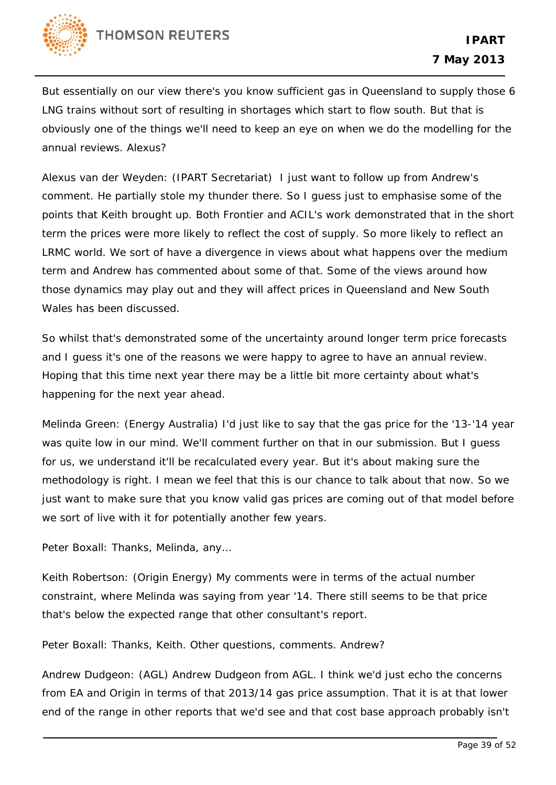

But essentially on our view there's you know sufficient gas in Queensland to supply those 6 LNG trains without sort of resulting in shortages which start to flow south. But that is obviously one of the things we'll need to keep an eye on when we do the modelling for the annual reviews. Alexus?

Alexus van der Weyden: (IPART Secretariat) I just want to follow up from Andrew's comment. He partially stole my thunder there. So I guess just to emphasise some of the points that Keith brought up. Both Frontier and ACIL's work demonstrated that in the short term the prices were more likely to reflect the cost of supply. So more likely to reflect an LRMC world. We sort of have a divergence in views about what happens over the medium term and Andrew has commented about some of that. Some of the views around how those dynamics may play out and they will affect prices in Queensland and New South Wales has been discussed.

So whilst that's demonstrated some of the uncertainty around longer term price forecasts and I guess it's one of the reasons we were happy to agree to have an annual review. Hoping that this time next year there may be a little bit more certainty about what's happening for the next year ahead.

Melinda Green: (Energy Australia) I'd just like to say that the gas price for the '13-'14 year was quite low in our mind. We'll comment further on that in our submission. But I guess for us, we understand it'll be recalculated every year. But it's about making sure the methodology is right. I mean we feel that this is our chance to talk about that now. So we just want to make sure that you know valid gas prices are coming out of that model before we sort of live with it for potentially another few years.

Peter Boxall: Thanks, Melinda, any…

Keith Robertson: (Origin Energy) My comments were in terms of the actual number constraint, where Melinda was saying from year '14. There still seems to be that price that's below the expected range that other consultant's report.

Peter Boxall: Thanks, Keith. Other questions, comments. Andrew?

Andrew Dudgeon: (AGL) Andrew Dudgeon from AGL. I think we'd just echo the concerns from EA and Origin in terms of that 2013/14 gas price assumption. That it is at that lower end of the range in other reports that we'd see and that cost base approach probably isn't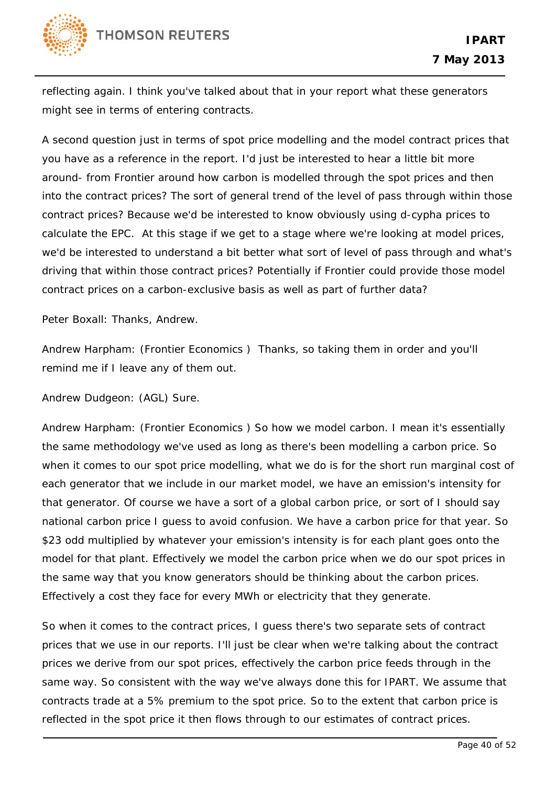reflecting again. I think you've talked about that in your report what these generators might see in terms of entering contracts.

A second question just in terms of spot price modelling and the model contract prices that you have as a reference in the report. I'd just be interested to hear a little bit more around- from Frontier around how carbon is modelled through the spot prices and then into the contract prices? The sort of general trend of the level of pass through within those contract prices? Because we'd be interested to know obviously using d-cypha prices to calculate the EPC. At this stage if we get to a stage where we're looking at model prices, we'd be interested to understand a bit better what sort of level of pass through and what's driving that within those contract prices? Potentially if Frontier could provide those model contract prices on a carbon-exclusive basis as well as part of further data?

Peter Boxall: Thanks, Andrew.

Andrew Harpham: (Frontier Economics ) Thanks, so taking them in order and you'll remind me if I leave any of them out.

Andrew Dudgeon: (AGL) Sure.

Andrew Harpham: (Frontier Economics ) So how we model carbon. I mean it's essentially the same methodology we've used as long as there's been modelling a carbon price. So when it comes to our spot price modelling, what we do is for the short run marginal cost of each generator that we include in our market model, we have an emission's intensity for that generator. Of course we have a sort of a global carbon price, or sort of I should say national carbon price I guess to avoid confusion. We have a carbon price for that year. So \$23 odd multiplied by whatever your emission's intensity is for each plant goes onto the model for that plant. Effectively we model the carbon price when we do our spot prices in the same way that you know generators should be thinking about the carbon prices. Effectively a cost they face for every MWh or electricity that they generate.

So when it comes to the contract prices, I guess there's two separate sets of contract prices that we use in our reports. I'll just be clear when we're talking about the contract prices we derive from our spot prices, effectively the carbon price feeds through in the same way. So consistent with the way we've always done this for IPART. We assume that contracts trade at a 5% premium to the spot price. So to the extent that carbon price is reflected in the spot price it then flows through to our estimates of contract prices.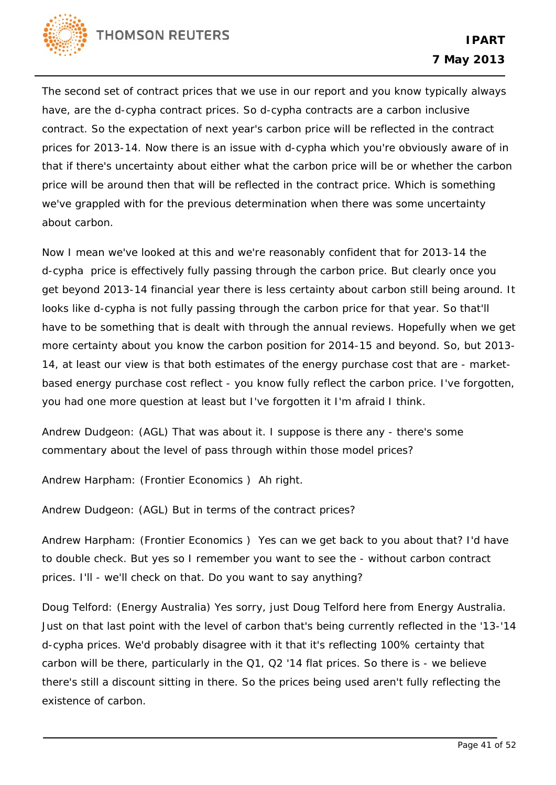

The second set of contract prices that we use in our report and you know typically always have, are the d-cypha contract prices. So d-cypha contracts are a carbon inclusive contract. So the expectation of next year's carbon price will be reflected in the contract prices for 2013-14. Now there is an issue with d-cypha which you're obviously aware of in that if there's uncertainty about either what the carbon price will be or whether the carbon price will be around then that will be reflected in the contract price. Which is something we've grappled with for the previous determination when there was some uncertainty about carbon.

Now I mean we've looked at this and we're reasonably confident that for 2013-14 the d-cypha price is effectively fully passing through the carbon price. But clearly once you get beyond 2013-14 financial year there is less certainty about carbon still being around. It looks like d-cypha is not fully passing through the carbon price for that year. So that'll have to be something that is dealt with through the annual reviews. Hopefully when we get more certainty about you know the carbon position for 2014-15 and beyond. So, but 2013- 14, at least our view is that both estimates of the energy purchase cost that are - marketbased energy purchase cost reflect - you know fully reflect the carbon price. I've forgotten, you had one more question at least but I've forgotten it I'm afraid I think.

Andrew Dudgeon: (AGL) That was about it. I suppose is there any - there's some commentary about the level of pass through within those model prices?

Andrew Harpham: (Frontier Economics ) Ah right.

Andrew Dudgeon: (AGL) But in terms of the contract prices?

Andrew Harpham: (Frontier Economics ) Yes can we get back to you about that? I'd have to double check. But yes so I remember you want to see the - without carbon contract prices. I'll - we'll check on that. Do you want to say anything?

Doug Telford: (Energy Australia) Yes sorry, just Doug Telford here from Energy Australia. Just on that last point with the level of carbon that's being currently reflected in the '13-'14 d-cypha prices. We'd probably disagree with it that it's reflecting 100% certainty that carbon will be there, particularly in the Q1, Q2 '14 flat prices. So there is - we believe there's still a discount sitting in there. So the prices being used aren't fully reflecting the existence of carbon.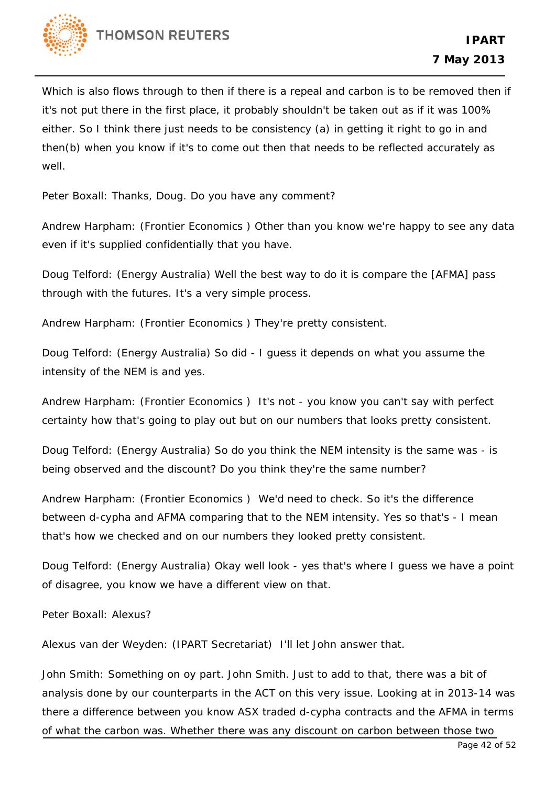

Which is also flows through to then if there is a repeal and carbon is to be removed then if it's not put there in the first place, it probably shouldn't be taken out as if it was 100% either. So I think there just needs to be consistency (a) in getting it right to go in and then(b) when you know if it's to come out then that needs to be reflected accurately as well.

Peter Boxall: Thanks, Doug. Do you have any comment?

Andrew Harpham: (Frontier Economics ) Other than you know we're happy to see any data even if it's supplied confidentially that you have.

Doug Telford: (Energy Australia) Well the best way to do it is compare the [AFMA] pass through with the futures. It's a very simple process.

Andrew Harpham: (Frontier Economics ) They're pretty consistent.

Doug Telford: (Energy Australia) So did - I guess it depends on what you assume the intensity of the NEM is and yes.

Andrew Harpham: (Frontier Economics ) It's not - you know you can't say with perfect certainty how that's going to play out but on our numbers that looks pretty consistent.

Doug Telford: (Energy Australia) So do you think the NEM intensity is the same was - is being observed and the discount? Do you think they're the same number?

Andrew Harpham: (Frontier Economics ) We'd need to check. So it's the difference between d-cypha and AFMA comparing that to the NEM intensity. Yes so that's - I mean that's how we checked and on our numbers they looked pretty consistent.

Doug Telford: (Energy Australia) Okay well look - yes that's where I guess we have a point of disagree, you know we have a different view on that.

Peter Boxall: Alexus?

Alexus van der Weyden: (IPART Secretariat) I'll let John answer that.

John Smith: Something on oy part. John Smith. Just to add to that, there was a bit of analysis done by our counterparts in the ACT on this very issue. Looking at in 2013-14 was there a difference between you know ASX traded d-cypha contracts and the AFMA in terms of what the carbon was. Whether there was any discount on carbon between those two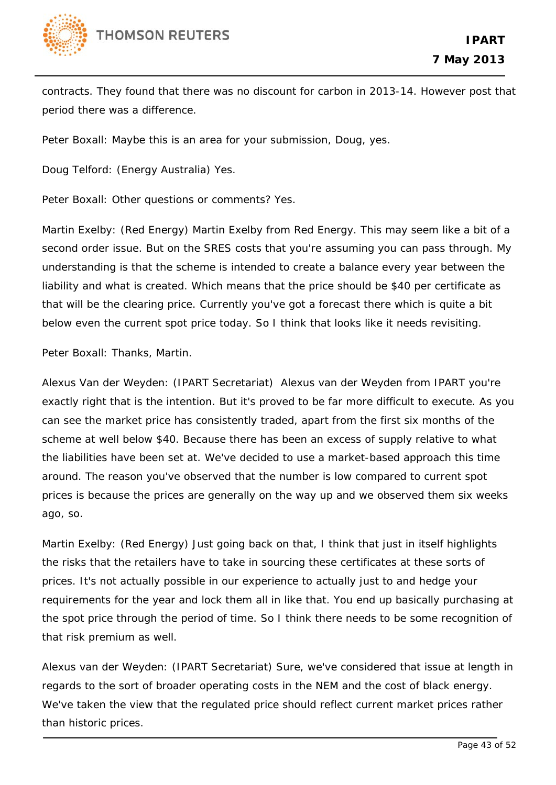

contracts. They found that there was no discount for carbon in 2013-14. However post that period there was a difference.

Peter Boxall: Maybe this is an area for your submission, Doug, yes.

Doug Telford: (Energy Australia) Yes.

Peter Boxall: Other questions or comments? Yes.

Martin Exelby: (Red Energy) Martin Exelby from Red Energy. This may seem like a bit of a second order issue. But on the SRES costs that you're assuming you can pass through. My understanding is that the scheme is intended to create a balance every year between the liability and what is created. Which means that the price should be \$40 per certificate as that will be the clearing price. Currently you've got a forecast there which is quite a bit below even the current spot price today. So I think that looks like it needs revisiting.

Peter Boxall: Thanks, Martin.

Alexus Van der Weyden: (IPART Secretariat) Alexus van der Weyden from IPART you're exactly right that is the intention. But it's proved to be far more difficult to execute. As you can see the market price has consistently traded, apart from the first six months of the scheme at well below \$40. Because there has been an excess of supply relative to what the liabilities have been set at. We've decided to use a market-based approach this time around. The reason you've observed that the number is low compared to current spot prices is because the prices are generally on the way up and we observed them six weeks ago, so.

Martin Exelby: (Red Energy) Just going back on that, I think that just in itself highlights the risks that the retailers have to take in sourcing these certificates at these sorts of prices. It's not actually possible in our experience to actually just to and hedge your requirements for the year and lock them all in like that. You end up basically purchasing at the spot price through the period of time. So I think there needs to be some recognition of that risk premium as well.

Alexus van der Weyden: (IPART Secretariat) Sure, we've considered that issue at length in regards to the sort of broader operating costs in the NEM and the cost of black energy. We've taken the view that the regulated price should reflect current market prices rather than historic prices.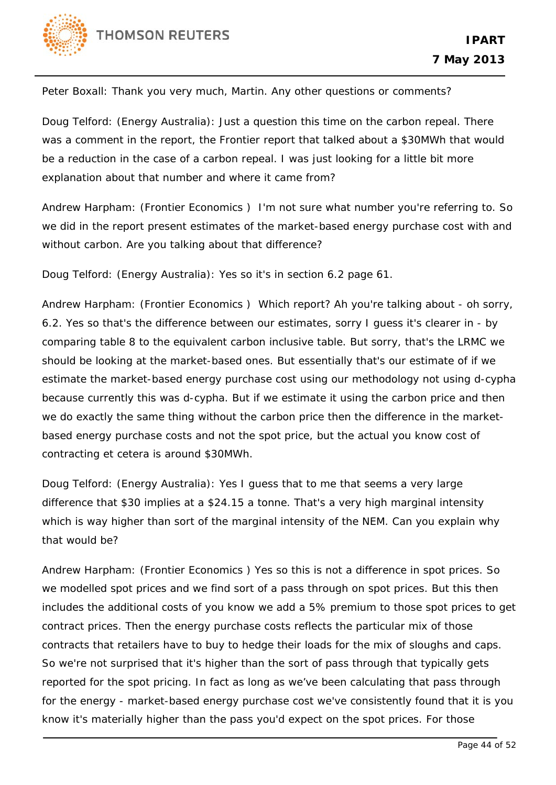

Peter Boxall: Thank you very much, Martin. Any other questions or comments?

Doug Telford: (Energy Australia): Just a question this time on the carbon repeal. There was a comment in the report, the Frontier report that talked about a \$30MWh that would be a reduction in the case of a carbon repeal. I was just looking for a little bit more explanation about that number and where it came from?

Andrew Harpham: (Frontier Economics ) I'm not sure what number you're referring to. So we did in the report present estimates of the market-based energy purchase cost with and without carbon. Are you talking about that difference?

Doug Telford: (Energy Australia): Yes so it's in section 6.2 page 61.

Andrew Harpham: (Frontier Economics ) Which report? Ah you're talking about - oh sorry, 6.2. Yes so that's the difference between our estimates, sorry I guess it's clearer in - by comparing table 8 to the equivalent carbon inclusive table. But sorry, that's the LRMC we should be looking at the market-based ones. But essentially that's our estimate of if we estimate the market-based energy purchase cost using our methodology not using d-cypha because currently this was d-cypha. But if we estimate it using the carbon price and then we do exactly the same thing without the carbon price then the difference in the marketbased energy purchase costs and not the spot price, but the actual you know cost of contracting et cetera is around \$30MWh.

Doug Telford: (Energy Australia): Yes I guess that to me that seems a very large difference that \$30 implies at a \$24.15 a tonne. That's a very high marginal intensity which is way higher than sort of the marginal intensity of the NEM. Can you explain why that would be?

Andrew Harpham: (Frontier Economics ) Yes so this is not a difference in spot prices. So we modelled spot prices and we find sort of a pass through on spot prices. But this then includes the additional costs of you know we add a 5% premium to those spot prices to get contract prices. Then the energy purchase costs reflects the particular mix of those contracts that retailers have to buy to hedge their loads for the mix of sloughs and caps. So we're not surprised that it's higher than the sort of pass through that typically gets reported for the spot pricing. In fact as long as we've been calculating that pass through for the energy - market-based energy purchase cost we've consistently found that it is you know it's materially higher than the pass you'd expect on the spot prices. For those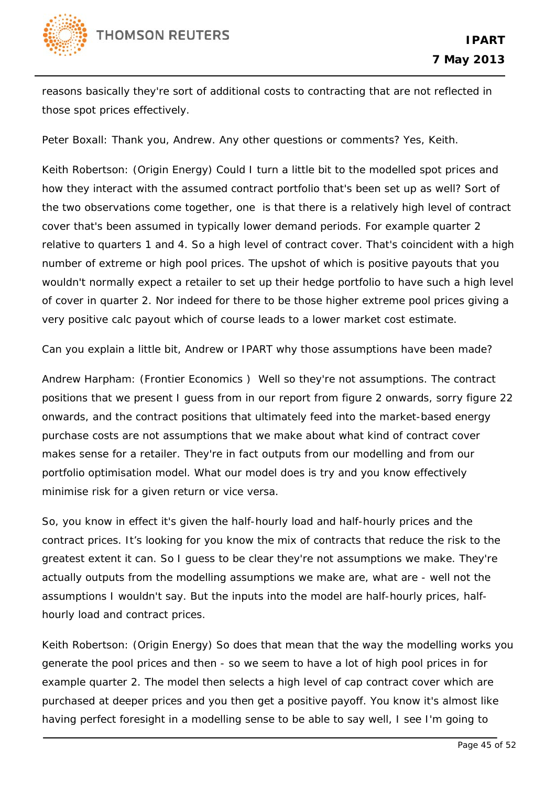

reasons basically they're sort of additional costs to contracting that are not reflected in those spot prices effectively.

Peter Boxall: Thank you, Andrew. Any other questions or comments? Yes, Keith.

Keith Robertson: (Origin Energy) Could I turn a little bit to the modelled spot prices and how they interact with the assumed contract portfolio that's been set up as well? Sort of the two observations come together, one is that there is a relatively high level of contract cover that's been assumed in typically lower demand periods. For example quarter 2 relative to quarters 1 and 4. So a high level of contract cover. That's coincident with a high number of extreme or high pool prices. The upshot of which is positive payouts that you wouldn't normally expect a retailer to set up their hedge portfolio to have such a high level of cover in quarter 2. Nor indeed for there to be those higher extreme pool prices giving a very positive calc payout which of course leads to a lower market cost estimate.

Can you explain a little bit, Andrew or IPART why those assumptions have been made?

Andrew Harpham: (Frontier Economics ) Well so they're not assumptions. The contract positions that we present I guess from in our report from figure 2 onwards, sorry figure 22 onwards, and the contract positions that ultimately feed into the market-based energy purchase costs are not assumptions that we make about what kind of contract cover makes sense for a retailer. They're in fact outputs from our modelling and from our portfolio optimisation model. What our model does is try and you know effectively minimise risk for a given return or vice versa.

So, you know in effect it's given the half-hourly load and half-hourly prices and the contract prices. It's looking for you know the mix of contracts that reduce the risk to the greatest extent it can. So I guess to be clear they're not assumptions we make. They're actually outputs from the modelling assumptions we make are, what are - well not the assumptions I wouldn't say. But the inputs into the model are half-hourly prices, halfhourly load and contract prices.

Keith Robertson: (Origin Energy) So does that mean that the way the modelling works you generate the pool prices and then - so we seem to have a lot of high pool prices in for example quarter 2. The model then selects a high level of cap contract cover which are purchased at deeper prices and you then get a positive payoff. You know it's almost like having perfect foresight in a modelling sense to be able to say well, I see I'm going to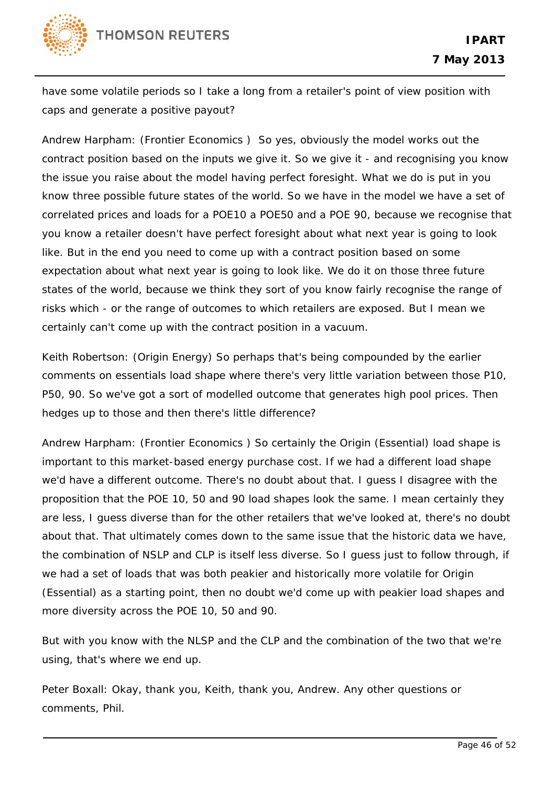

have some volatile periods so I take a long from a retailer's point of view position with caps and generate a positive payout?

Andrew Harpham: (Frontier Economics ) So yes, obviously the model works out the contract position based on the inputs we give it. So we give it - and recognising you know the issue you raise about the model having perfect foresight. What we do is put in you know three possible future states of the world. So we have in the model we have a set of correlated prices and loads for a POE10 a POE50 and a POE 90, because we recognise that you know a retailer doesn't have perfect foresight about what next year is going to look like. But in the end you need to come up with a contract position based on some expectation about what next year is going to look like. We do it on those three future states of the world, because we think they sort of you know fairly recognise the range of risks which - or the range of outcomes to which retailers are exposed. But I mean we certainly can't come up with the contract position in a vacuum.

Keith Robertson: (Origin Energy) So perhaps that's being compounded by the earlier comments on essentials load shape where there's very little variation between those P10, P50, 90. So we've got a sort of modelled outcome that generates high pool prices. Then hedges up to those and then there's little difference?

Andrew Harpham: (Frontier Economics ) So certainly the Origin (Essential) load shape is important to this market-based energy purchase cost. If we had a different load shape we'd have a different outcome. There's no doubt about that. I guess I disagree with the proposition that the POE 10, 50 and 90 load shapes look the same. I mean certainly they are less, I guess diverse than for the other retailers that we've looked at, there's no doubt about that. That ultimately comes down to the same issue that the historic data we have, the combination of NSLP and CLP is itself less diverse. So I guess just to follow through, if we had a set of loads that was both peakier and historically more volatile for Origin (Essential) as a starting point, then no doubt we'd come up with peakier load shapes and more diversity across the POE 10, 50 and 90.

But with you know with the NLSP and the CLP and the combination of the two that we're using, that's where we end up.

Peter Boxall: Okay, thank you, Keith, thank you, Andrew. Any other questions or comments, Phil.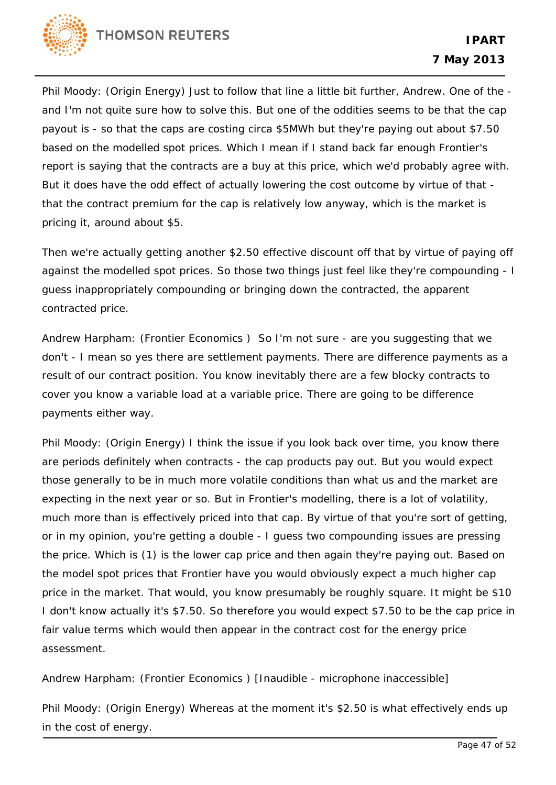

Phil Moody: (Origin Energy) Just to follow that line a little bit further, Andrew. One of the and I'm not quite sure how to solve this. But one of the oddities seems to be that the cap payout is - so that the caps are costing circa \$5MWh but they're paying out about \$7.50 based on the modelled spot prices. Which I mean if I stand back far enough Frontier's report is saying that the contracts are a buy at this price, which we'd probably agree with. But it does have the odd effect of actually lowering the cost outcome by virtue of that that the contract premium for the cap is relatively low anyway, which is the market is pricing it, around about \$5.

Then we're actually getting another \$2.50 effective discount off that by virtue of paying off against the modelled spot prices. So those two things just feel like they're compounding - I guess inappropriately compounding or bringing down the contracted, the apparent contracted price.

Andrew Harpham: (Frontier Economics ) So I'm not sure - are you suggesting that we don't - I mean so yes there are settlement payments. There are difference payments as a result of our contract position. You know inevitably there are a few blocky contracts to cover you know a variable load at a variable price. There are going to be difference payments either way.

Phil Moody: (Origin Energy) I think the issue if you look back over time, you know there are periods definitely when contracts - the cap products pay out. But you would expect those generally to be in much more volatile conditions than what us and the market are expecting in the next year or so. But in Frontier's modelling, there is a lot of volatility, much more than is effectively priced into that cap. By virtue of that you're sort of getting, or in my opinion, you're getting a double - I guess two compounding issues are pressing the price. Which is (1) is the lower cap price and then again they're paying out. Based on the model spot prices that Frontier have you would obviously expect a much higher cap price in the market. That would, you know presumably be roughly square. It might be \$10 I don't know actually it's \$7.50. So therefore you would expect \$7.50 to be the cap price in fair value terms which would then appear in the contract cost for the energy price assessment.

Andrew Harpham: (Frontier Economics ) [Inaudible - microphone inaccessible]

Phil Moody: (Origin Energy) Whereas at the moment it's \$2.50 is what effectively ends up in the cost of energy.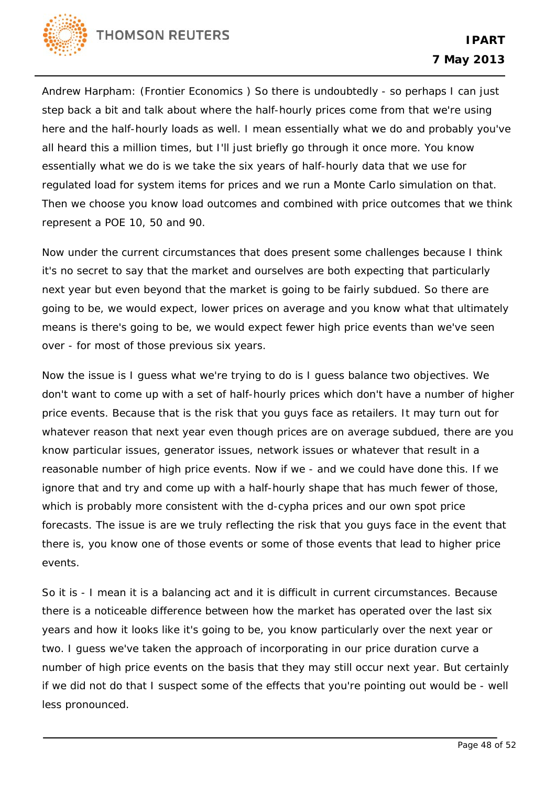

Andrew Harpham: (Frontier Economics ) So there is undoubtedly - so perhaps I can just step back a bit and talk about where the half-hourly prices come from that we're using here and the half-hourly loads as well. I mean essentially what we do and probably you've all heard this a million times, but I'll just briefly go through it once more. You know essentially what we do is we take the six years of half-hourly data that we use for regulated load for system items for prices and we run a Monte Carlo simulation on that. Then we choose you know load outcomes and combined with price outcomes that we think represent a POE 10, 50 and 90.

Now under the current circumstances that does present some challenges because I think it's no secret to say that the market and ourselves are both expecting that particularly next year but even beyond that the market is going to be fairly subdued. So there are going to be, we would expect, lower prices on average and you know what that ultimately means is there's going to be, we would expect fewer high price events than we've seen over - for most of those previous six years.

Now the issue is I guess what we're trying to do is I guess balance two objectives. We don't want to come up with a set of half-hourly prices which don't have a number of higher price events. Because that is the risk that you guys face as retailers. It may turn out for whatever reason that next year even though prices are on average subdued, there are you know particular issues, generator issues, network issues or whatever that result in a reasonable number of high price events. Now if we - and we could have done this. If we ignore that and try and come up with a half-hourly shape that has much fewer of those, which is probably more consistent with the d-cypha prices and our own spot price forecasts. The issue is are we truly reflecting the risk that you guys face in the event that there is, you know one of those events or some of those events that lead to higher price events.

So it is - I mean it is a balancing act and it is difficult in current circumstances. Because there is a noticeable difference between how the market has operated over the last six years and how it looks like it's going to be, you know particularly over the next year or two. I guess we've taken the approach of incorporating in our price duration curve a number of high price events on the basis that they may still occur next year. But certainly if we did not do that I suspect some of the effects that you're pointing out would be - well less pronounced.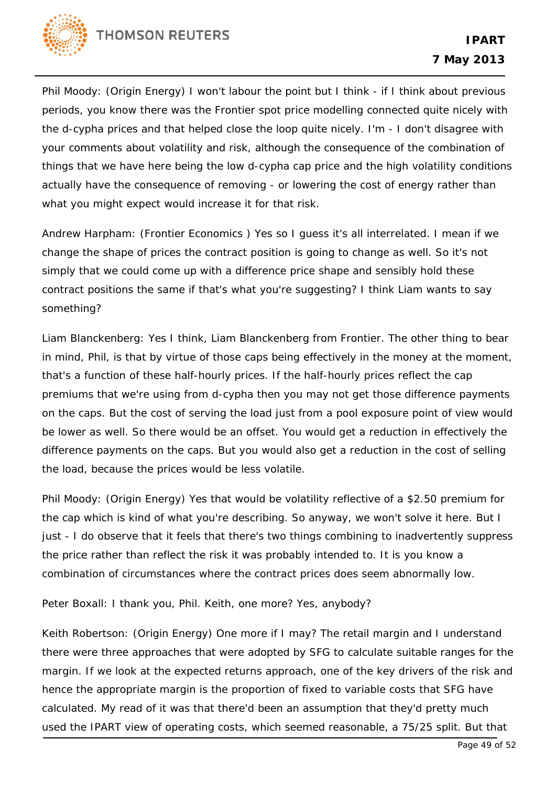

Phil Moody: (Origin Energy) I won't labour the point but I think - if I think about previous periods, you know there was the Frontier spot price modelling connected quite nicely with the d-cypha prices and that helped close the loop quite nicely. I'm - I don't disagree with your comments about volatility and risk, although the consequence of the combination of things that we have here being the low d-cypha cap price and the high volatility conditions actually have the consequence of removing - or lowering the cost of energy rather than what you might expect would increase it for that risk.

Andrew Harpham: (Frontier Economics ) Yes so I guess it's all interrelated. I mean if we change the shape of prices the contract position is going to change as well. So it's not simply that we could come up with a difference price shape and sensibly hold these contract positions the same if that's what you're suggesting? I think Liam wants to say something?

Liam Blanckenberg: Yes I think, Liam Blanckenberg from Frontier. The other thing to bear in mind, Phil, is that by virtue of those caps being effectively in the money at the moment, that's a function of these half-hourly prices. If the half-hourly prices reflect the cap premiums that we're using from d-cypha then you may not get those difference payments on the caps. But the cost of serving the load just from a pool exposure point of view would be lower as well. So there would be an offset. You would get a reduction in effectively the difference payments on the caps. But you would also get a reduction in the cost of selling the load, because the prices would be less volatile.

Phil Moody: (Origin Energy) Yes that would be volatility reflective of a \$2.50 premium for the cap which is kind of what you're describing. So anyway, we won't solve it here. But I just - I do observe that it feels that there's two things combining to inadvertently suppress the price rather than reflect the risk it was probably intended to. It is you know a combination of circumstances where the contract prices does seem abnormally low.

Peter Boxall: I thank you, Phil. Keith, one more? Yes, anybody?

Keith Robertson: (Origin Energy) One more if I may? The retail margin and I understand there were three approaches that were adopted by SFG to calculate suitable ranges for the margin. If we look at the expected returns approach, one of the key drivers of the risk and hence the appropriate margin is the proportion of fixed to variable costs that SFG have calculated. My read of it was that there'd been an assumption that they'd pretty much used the IPART view of operating costs, which seemed reasonable, a 75/25 split. But that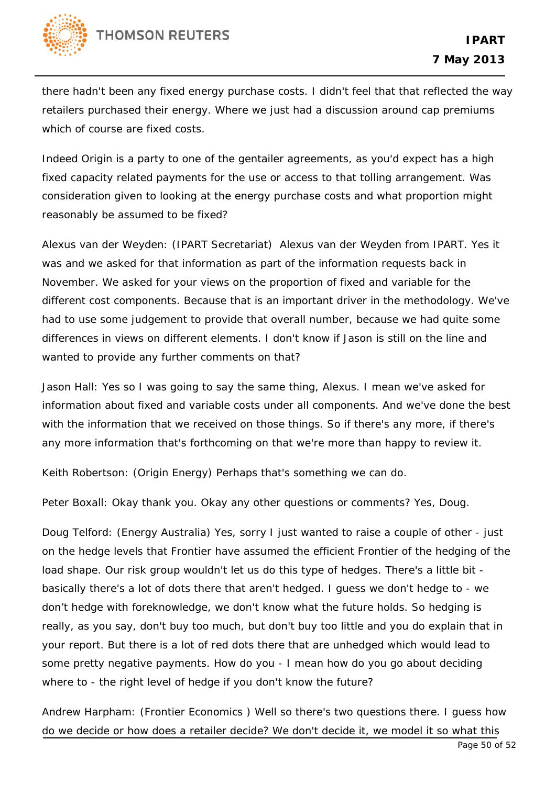

there hadn't been any fixed energy purchase costs. I didn't feel that that reflected the way retailers purchased their energy. Where we just had a discussion around cap premiums which of course are fixed costs.

Indeed Origin is a party to one of the gentailer agreements, as you'd expect has a high fixed capacity related payments for the use or access to that tolling arrangement. Was consideration given to looking at the energy purchase costs and what proportion might reasonably be assumed to be fixed?

Alexus van der Weyden: (IPART Secretariat) Alexus van der Weyden from IPART. Yes it was and we asked for that information as part of the information requests back in November. We asked for your views on the proportion of fixed and variable for the different cost components. Because that is an important driver in the methodology. We've had to use some judgement to provide that overall number, because we had quite some differences in views on different elements. I don't know if Jason is still on the line and wanted to provide any further comments on that?

Jason Hall: Yes so I was going to say the same thing, Alexus. I mean we've asked for information about fixed and variable costs under all components. And we've done the best with the information that we received on those things. So if there's any more, if there's any more information that's forthcoming on that we're more than happy to review it.

Keith Robertson: (Origin Energy) Perhaps that's something we can do.

Peter Boxall: Okay thank you. Okay any other questions or comments? Yes, Doug.

Doug Telford: (Energy Australia) Yes, sorry I just wanted to raise a couple of other - just on the hedge levels that Frontier have assumed the efficient Frontier of the hedging of the load shape. Our risk group wouldn't let us do this type of hedges. There's a little bit basically there's a lot of dots there that aren't hedged. I guess we don't hedge to - we don't hedge with foreknowledge, we don't know what the future holds. So hedging is really, as you say, don't buy too much, but don't buy too little and you do explain that in your report. But there is a lot of red dots there that are unhedged which would lead to some pretty negative payments. How do you - I mean how do you go about deciding where to - the right level of hedge if you don't know the future?

Andrew Harpham: (Frontier Economics ) Well so there's two questions there. I guess how do we decide or how does a retailer decide? We don't decide it, we model it so what this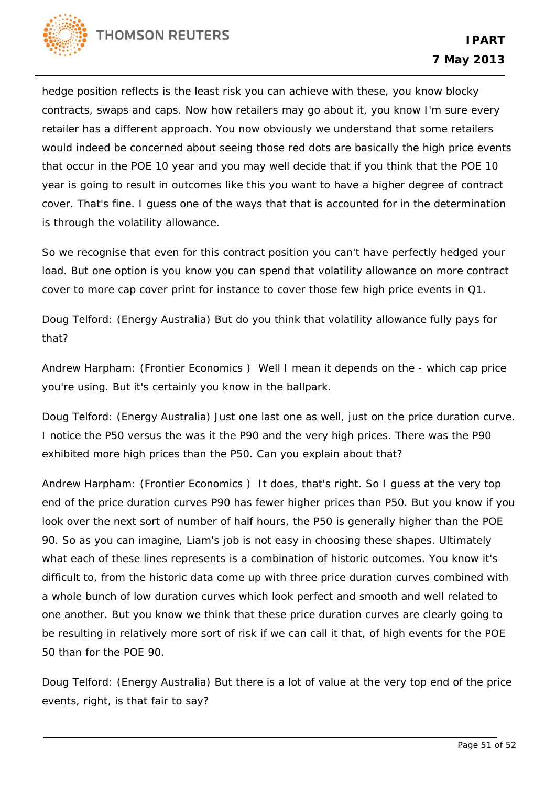

hedge position reflects is the least risk you can achieve with these, you know blocky contracts, swaps and caps. Now how retailers may go about it, you know I'm sure every retailer has a different approach. You now obviously we understand that some retailers would indeed be concerned about seeing those red dots are basically the high price events that occur in the POE 10 year and you may well decide that if you think that the POE 10 year is going to result in outcomes like this you want to have a higher degree of contract cover. That's fine. I guess one of the ways that that is accounted for in the determination is through the volatility allowance.

So we recognise that even for this contract position you can't have perfectly hedged your load. But one option is you know you can spend that volatility allowance on more contract cover to more cap cover print for instance to cover those few high price events in Q1.

Doug Telford: (Energy Australia) But do you think that volatility allowance fully pays for that?

Andrew Harpham: (Frontier Economics ) Well I mean it depends on the - which cap price you're using. But it's certainly you know in the ballpark.

Doug Telford: (Energy Australia) Just one last one as well, just on the price duration curve. I notice the P50 versus the was it the P90 and the very high prices. There was the P90 exhibited more high prices than the P50. Can you explain about that?

Andrew Harpham: (Frontier Economics ) It does, that's right. So I guess at the very top end of the price duration curves P90 has fewer higher prices than P50. But you know if you look over the next sort of number of half hours, the P50 is generally higher than the POE 90. So as you can imagine, Liam's job is not easy in choosing these shapes. Ultimately what each of these lines represents is a combination of historic outcomes. You know it's difficult to, from the historic data come up with three price duration curves combined with a whole bunch of low duration curves which look perfect and smooth and well related to one another. But you know we think that these price duration curves are clearly going to be resulting in relatively more sort of risk if we can call it that, of high events for the POE 50 than for the POE 90.

Doug Telford: (Energy Australia) But there is a lot of value at the very top end of the price events, right, is that fair to say?